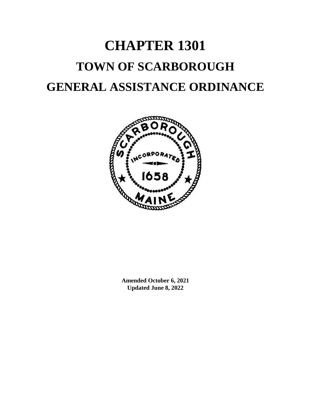# **CHAPTER 1301 TOWN OF SCARBOROUGH GENERAL ASSISTANCE ORDINANCE**



**Amended October 6, 2021 Updated June 8, 2022**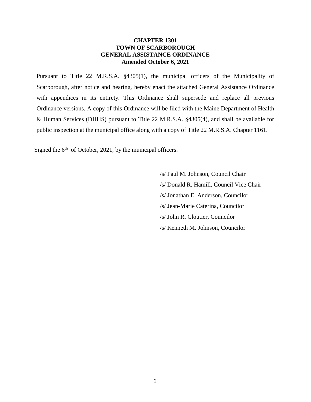# **CHAPTER 1301 TOWN OF SCARBOROUGH GENERAL ASSISTANCE ORDINANCE Amended October 6, 2021**

Pursuant to Title 22 M.R.S.A. §4305(1), the municipal officers of the Municipality of Scarborough, after notice and hearing, hereby enact the attached General Assistance Ordinance with appendices in its entirety. This Ordinance shall supersede and replace all previous Ordinance versions. A copy of this Ordinance will be filed with the Maine Department of Health & Human Services (DHHS) pursuant to Title 22 M.R.S.A. §4305(4), and shall be available for public inspection at the municipal office along with a copy of Title 22 M.R.S.A. Chapter 1161.

Signed the  $6<sup>th</sup>$  of October, 2021, by the municipal officers:

/s/ Paul M. Johnson, Council Chair /s/ Donald R. Hamill, Council Vice Chair /s/ Jonathan E. Anderson, Councilor /s/ Jean-Marie Caterina, Councilor /s/ John R. Cloutier, Councilor /s/ Kenneth M. Johnson, Councilor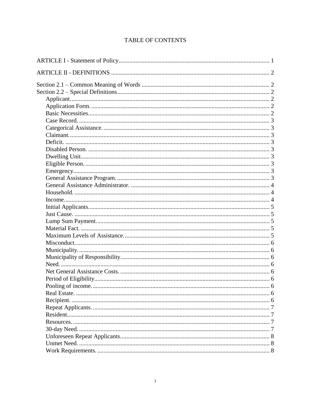# TABLE OF CONTENTS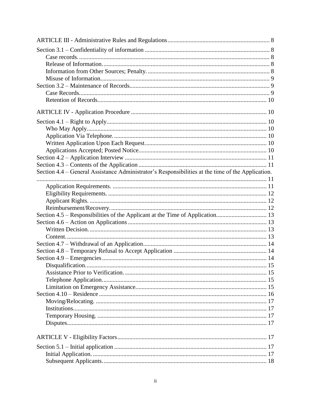| Section 4.4 – General Assistance Administrator's Responsibilities at the time of the Application. |  |
|---------------------------------------------------------------------------------------------------|--|
|                                                                                                   |  |
|                                                                                                   |  |
|                                                                                                   |  |
|                                                                                                   |  |
|                                                                                                   |  |
|                                                                                                   |  |
|                                                                                                   |  |
|                                                                                                   |  |
|                                                                                                   |  |
|                                                                                                   |  |
|                                                                                                   |  |
|                                                                                                   |  |
|                                                                                                   |  |
|                                                                                                   |  |
|                                                                                                   |  |
|                                                                                                   |  |
|                                                                                                   |  |
|                                                                                                   |  |
|                                                                                                   |  |
|                                                                                                   |  |
|                                                                                                   |  |
|                                                                                                   |  |
|                                                                                                   |  |
|                                                                                                   |  |
|                                                                                                   |  |
|                                                                                                   |  |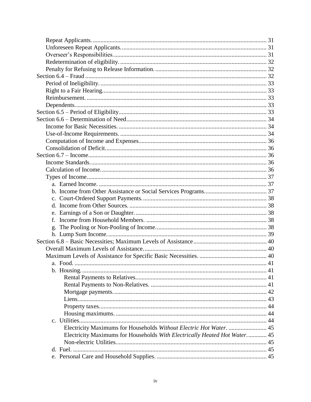| f.                                                                        |    |
|---------------------------------------------------------------------------|----|
|                                                                           |    |
|                                                                           |    |
|                                                                           |    |
|                                                                           |    |
|                                                                           |    |
| a Food                                                                    | 41 |
|                                                                           |    |
|                                                                           |    |
|                                                                           |    |
|                                                                           |    |
|                                                                           |    |
|                                                                           |    |
|                                                                           |    |
|                                                                           |    |
| Electricity Maximums for Households Without Electric Hot Water.  45       |    |
| Electricity Maximums for Households With Electrically Heated Hot Water 45 |    |
|                                                                           |    |
|                                                                           |    |
|                                                                           |    |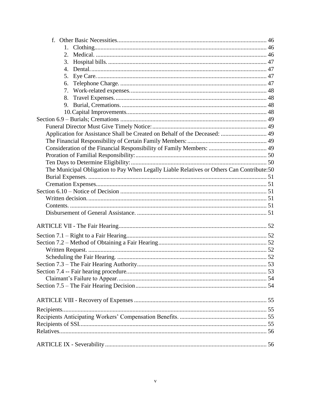| 3.                                                                                        |  |
|-------------------------------------------------------------------------------------------|--|
| 4.                                                                                        |  |
| 5.                                                                                        |  |
| 6.                                                                                        |  |
| 7.                                                                                        |  |
|                                                                                           |  |
| 9.                                                                                        |  |
|                                                                                           |  |
|                                                                                           |  |
|                                                                                           |  |
| Application for Assistance Shall be Created on Behalf of the Deceased:  49                |  |
|                                                                                           |  |
|                                                                                           |  |
|                                                                                           |  |
|                                                                                           |  |
| The Municipal Obligation to Pay When Legally Liable Relatives or Others Can Contribute:50 |  |
|                                                                                           |  |
|                                                                                           |  |
|                                                                                           |  |
|                                                                                           |  |
|                                                                                           |  |
|                                                                                           |  |
|                                                                                           |  |
|                                                                                           |  |
|                                                                                           |  |
|                                                                                           |  |
|                                                                                           |  |
|                                                                                           |  |
|                                                                                           |  |
|                                                                                           |  |
|                                                                                           |  |
|                                                                                           |  |
|                                                                                           |  |
|                                                                                           |  |
|                                                                                           |  |
|                                                                                           |  |
|                                                                                           |  |
|                                                                                           |  |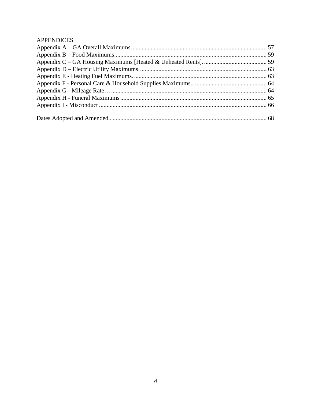# **APPENDICES**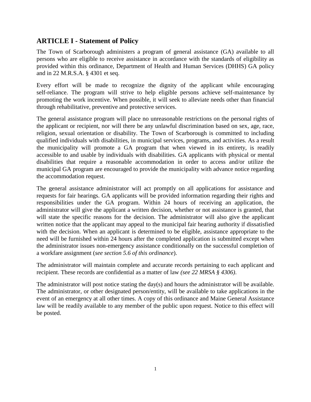# <span id="page-8-0"></span>**ARTICLE I - Statement of Policy**

The Town of Scarborough administers a program of general assistance (GA) available to all persons who are eligible to receive assistance in accordance with the standards of eligibility as provided within this ordinance, Department of Health and Human Services (DHHS) GA policy and in 22 M.R.S.A. § 4301 et seq.

Every effort will be made to recognize the dignity of the applicant while encouraging self-reliance. The program will strive to help eligible persons achieve self-maintenance by promoting the work incentive. When possible, it will seek to alleviate needs other than financial through rehabilitative, preventive and protective services.

The general assistance program will place no unreasonable restrictions on the personal rights of the applicant or recipient, nor will there be any unlawful discrimination based on sex, age, race, religion, sexual orientation or disability. The Town of Scarborough is committed to including qualified individuals with disabilities, in municipal services, programs, and activities. As a result the municipality will promote a GA program that when viewed in its entirety, is readily accessible to and usable by individuals with disabilities. GA applicants with physical or mental disabilities that require a reasonable accommodation in order to access and/or utilize the municipal GA program are encouraged to provide the municipality with advance notice regarding the accommodation request.

The general assistance administrator will act promptly on all applications for assistance and requests for fair hearings. GA applicants will be provided information regarding their rights and responsibilities under the GA program. Within 24 hours of receiving an application, the administrator will give the applicant a written decision, whether or not assistance is granted, that will state the specific reasons for the decision. The administrator will also give the applicant written notice that the applicant may appeal to the municipal fair hearing authority if dissatisfied with the decision. When an applicant is determined to be eligible, assistance appropriate to the need will be furnished within 24 hours after the completed application is submitted except when the administrator issues non-emergency assistance conditionally on the successful completion of a workfare assignment (*see section 5.6 of this ordinance*).

The administrator will maintain complete and accurate records pertaining to each applicant and recipient. These records are confidential as a matter of law *(see 22 MRSA § 4306)*.

The administrator will post notice stating the day(s) and hours the administrator will be available. The administrator, or other designated person/entity, will be available to take applications in the event of an emergency at all other times. A copy of this ordinance and Maine General Assistance law will be readily available to any member of the public upon request. Notice to this effect will be posted.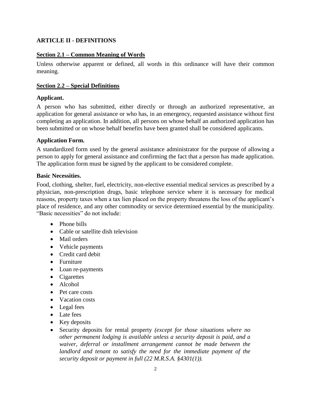# <span id="page-9-0"></span>**ARTICLE II - DEFINITIONS**

# <span id="page-9-1"></span>**Section 2.1 – Common Meaning of Words**

Unless otherwise apparent or defined, all words in this ordinance will have their common meaning.

# <span id="page-9-2"></span>**Section 2.2 – Special Definitions**

#### <span id="page-9-3"></span>**Applicant.**

A person who has submitted, either directly or through an authorized representative, an application for general assistance or who has, in an emergency, requested assistance without first completing an application. In addition, all persons on whose behalf an authorized application has been submitted or on whose behalf benefits have been granted shall be considered applicants.

#### <span id="page-9-4"></span>**Application Form.**

A standardized form used by the general assistance administrator for the purpose of allowing a person to apply for general assistance and confirming the fact that a person has made application. The application form must be signed by the applicant to be considered complete.

#### <span id="page-9-5"></span>**Basic Necessities.**

Food, clothing, shelter, fuel, electricity, non-elective essential medical services as prescribed by a physician, non-prescription drugs, basic telephone service where it is necessary for medical reasons, property taxes when a tax lien placed on the property threatens the loss of the applicant's place of residence, and any other commodity or service determined essential by the municipality. "Basic necessities" do not include:

- Phone bills
- Cable or satellite dish television
- Mail orders
- Vehicle payments
- Credit card debit
- Furniture
- Loan re-payments
- Cigarettes
- Alcohol
- Pet care costs
- Vacation costs
- Legal fees
- Late fees
- Key deposits
- Security deposits for rental property *(except for those situations where no other permanent lodging is available unless a security deposit is paid, and a waiver, deferral or installment arrangement cannot be made between the landlord and tenant to satisfy the need for the immediate payment of the security deposit or payment in full (22 M.R.S.A. §4301(1)).*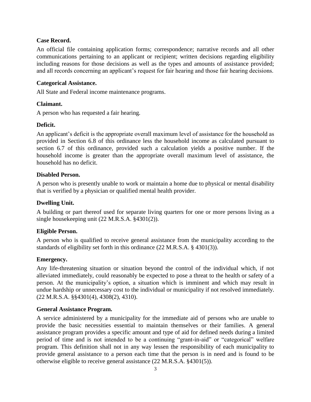#### <span id="page-10-0"></span>**Case Record.**

An official file containing application forms; correspondence; narrative records and all other communications pertaining to an applicant or recipient; written decisions regarding eligibility including reasons for those decisions as well as the types and amounts of assistance provided; and all records concerning an applicant's request for fair hearing and those fair hearing decisions.

#### <span id="page-10-1"></span>**Categorical Assistance.**

All State and Federal income maintenance programs.

# <span id="page-10-2"></span>**Claimant.**

A person who has requested a fair hearing.

# <span id="page-10-3"></span>**Deficit.**

An applicant's deficit is the appropriate overall maximum level of assistance for the household as provided in Section 6.8 of this ordinance less the household income as calculated pursuant to section 6.7 of this ordinance, provided such a calculation yields a positive number. If the household income is greater than the appropriate overall maximum level of assistance, the household has no deficit.

# <span id="page-10-4"></span>**Disabled Person.**

A person who is presently unable to work or maintain a home due to physical or mental disability that is verified by a physician or qualified mental health provider.

# <span id="page-10-5"></span>**Dwelling Unit.**

A building or part thereof used for separate living quarters for one or more persons living as a single housekeeping unit (22 M.R.S.A. §4301(2)).

# <span id="page-10-6"></span>**Eligible Person.**

A person who is qualified to receive general assistance from the municipality according to the standards of eligibility set forth in this ordinance (22 M.R.S.A. § 4301(3)).

# <span id="page-10-7"></span>**Emergency.**

Any life-threatening situation or situation beyond the control of the individual which, if not alleviated immediately, could reasonably be expected to pose a threat to the health or safety of a person. At the municipality's option, a situation which is imminent and which may result in undue hardship or unnecessary cost to the individual or municipality if not resolved immediately. (22 M.R.S.A. §§4301(4), 4308(2), 4310).

#### <span id="page-10-8"></span>**General Assistance Program.**

A service administered by a municipality for the immediate aid of persons who are unable to provide the basic necessities essential to maintain themselves or their families. A general assistance program provides a specific amount and type of aid for defined needs during a limited period of time and is not intended to be a continuing "grant-in-aid" or "categorical" welfare program. This definition shall not in any way lessen the responsibility of each municipality to provide general assistance to a person each time that the person is in need and is found to be otherwise eligible to receive general assistance (22 M.R.S.A. §4301(5)).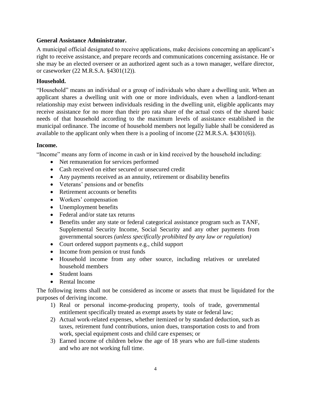#### <span id="page-11-0"></span>**General Assistance Administrator.**

A municipal official designated to receive applications, make decisions concerning an applicant's right to receive assistance, and prepare records and communications concerning assistance. He or she may be an elected overseer or an authorized agent such as a town manager, welfare director, or caseworker (22 M.R.S.A. §4301(12)).

# <span id="page-11-1"></span>**Household.**

"Household" means an individual or a group of individuals who share a dwelling unit. When an applicant shares a dwelling unit with one or more individuals, even when a landlord-tenant relationship may exist between individuals residing in the dwelling unit, eligible applicants may receive assistance for no more than their pro rata share of the actual costs of the shared basic needs of that household according to the maximum levels of assistance established in the municipal ordinance. The income of household members not legally liable shall be considered as available to the applicant only when there is a pooling of income (22 M.R.S.A. §4301(6)).

#### <span id="page-11-2"></span>**Income.**

"Income" means any form of income in cash or in kind received by the household including:

- Net remuneration for services performed
- Cash received on either secured or unsecured credit
- Any payments received as an annuity, retirement or disability benefits
- Veterans' pensions and or benefits
- Retirement accounts or benefits
- Workers' compensation
- Unemployment benefits
- Federal and/or state tax returns
- Benefits under any state or federal categorical assistance program such as TANF, Supplemental Security Income, Social Security and any other payments from governmental sources *(unless specifically prohibited by any law or regulation)*
- Court ordered support payments e.g., child support
- Income from pension or trust funds
- Household income from any other source, including relatives or unrelated household members
- Student loans
- Rental Income

The following items shall not be considered as income or assets that must be liquidated for the purposes of deriving income.

- 1) Real or personal income-producing property, tools of trade, governmental entitlement specifically treated as exempt assets by state or federal law;
- 2) Actual work-related expenses, whether itemized or by standard deduction, such as taxes, retirement fund contributions, union dues, transportation costs to and from work, special equipment costs and child care expenses; or
- 3) Earned income of children below the age of 18 years who are full-time students and who are not working full time.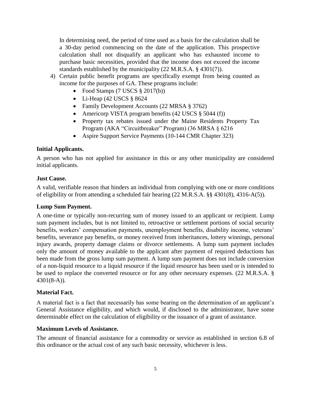In determining need, the period of time used as a basis for the calculation shall be a 30-day period commencing on the date of the application. This prospective calculation shall not disqualify an applicant who has exhausted income to purchase basic necessities, provided that the income does not exceed the income standards established by the municipality (22 M.R.S.A. § 4301(7)).

- 4) Certain public benefit programs are specifically exempt from being counted as income for the purposes of GA. These programs include:
	- Food Stamps  $(7$  USCS  $\S 2017(b))$
	- Li-Heap (42 USCS  $§ 8624$
	- Family Development Accounts (22 MRSA § 3762)
	- Americorp VISTA program benefits (42 USCS § 5044 (f))
	- Property tax rebates issued under the Maine Residents Property Tax Program (AKA "Circuitbreaker" Program) (36 MRSA § 6216
	- Aspire Support Service Payments (10-144 CMR Chapter 323)

# <span id="page-12-0"></span>**Initial Applicants.**

A person who has not applied for assistance in this or any other municipality are considered initial applicants.

# <span id="page-12-1"></span>**Just Cause.**

A valid, verifiable reason that hinders an individual from complying with one or more conditions of eligibility or from attending a scheduled fair hearing (22 M.R.S.A. §§ 4301(8), 4316-A(5)).

#### <span id="page-12-2"></span>**Lump Sum Payment.**

A one-time or typically non-recurring sum of money issued to an applicant or recipient. Lump sum payment includes, but is not limited to, retroactive or settlement portions of social security benefits, workers' compensation payments, unemployment benefits, disability income, veterans' benefits, severance pay benefits, or money received from inheritances, lottery winnings, personal injury awards, property damage claims or divorce settlements. A lump sum payment includes only the amount of money available to the applicant after payment of required deductions has been made from the gross lump sum payment. A lump sum payment does not include conversion of a non-liquid resource to a liquid resource if the liquid resource has been used or is intended to be used to replace the converted resource or for any other necessary expenses. (22 M.R.S.A. § 4301(8-A)).

#### <span id="page-12-3"></span>**Material Fact.**

A material fact is a fact that necessarily has some bearing on the determination of an applicant's General Assistance eligibility, and which would, if disclosed to the administrator, have some determinable effect on the calculation of eligibility or the issuance of a grant of assistance.

#### <span id="page-12-4"></span>**Maximum Levels of Assistance.**

The amount of financial assistance for a commodity or service as established in section 6.8 of this ordinance or the actual cost of any such basic necessity, whichever is less.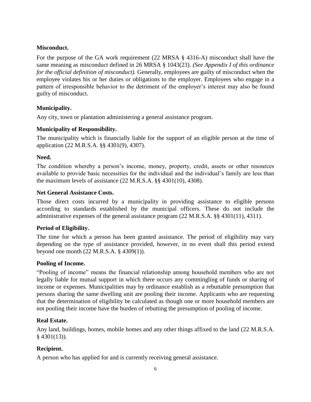# <span id="page-13-0"></span>**Misconduct.**

For the purpose of the GA work requirement (22 MRSA § 4316-A) misconduct shall have the same meaning as misconduct defined in 26 MRSA § 1043(23). *(See Appendix I of this ordinance for the official definition of misconduct).* Generally, employees are guilty of misconduct when the employee violates his or her duties or obligations to the employer. Employees who engage in a pattern of irresponsible behavior to the detriment of the employer's interest may also be found guilty of misconduct.

# <span id="page-13-1"></span>**Municipality.**

Any city, town or plantation administering a general assistance program.

# <span id="page-13-2"></span>**Municipality of Responsibility.**

The municipality which is financially liable for the support of an eligible person at the time of application (22 M.R.S.A. §§ 4301(9), 4307).

#### <span id="page-13-3"></span>**Need.**

The condition whereby a person's income, money, property, credit, assets or other resources available to provide basic necessities for the individual and the individual's family are less than the maximum levels of assistance (22 M.R.S.A. §§ 4301(10), 4308).

#### <span id="page-13-4"></span>**Net General Assistance Costs.**

Those direct costs incurred by a municipality in providing assistance to eligible persons according to standards established by the municipal officers. These do not include the administrative expenses of the general assistance program (22 M.R.S.A. §§ 4301(11), 4311).

# <span id="page-13-5"></span>**Period of Eligibility.**

The time for which a person has been granted assistance. The period of eligibility may vary depending on the type of assistance provided, however, in no event shall this period extend beyond one month (22 M.R.S.A. § 4309(1)).

#### <span id="page-13-6"></span>**Pooling of Income.**

"Pooling of income" means the financial relationship among household members who are not legally liable for mutual support in which there occurs any commingling of funds or sharing of income or expenses. Municipalities may by ordinance establish as a rebuttable presumption that persons sharing the same dwelling unit are pooling their income. Applicants who are requesting that the determination of eligibility be calculated as though one or more household members are not pooling their income have the burden of rebutting the presumption of pooling of income.

#### <span id="page-13-7"></span>**Real Estate.**

Any land, buildings, homes, mobile homes and any other things affixed to the land (22 M.R.S.A.  $§$  4301(13)).

# <span id="page-13-8"></span>**Recipient.**

A person who has applied for and is currently receiving general assistance.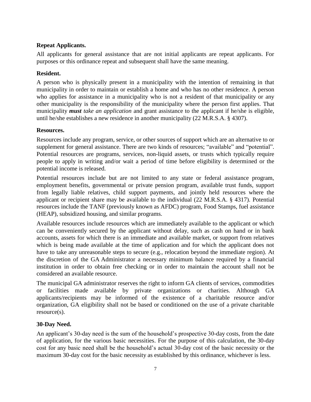# <span id="page-14-0"></span>**Repeat Applicants.**

All applicants for general assistance that are not initial applicants are repeat applicants. For purposes or this ordinance repeat and subsequent shall have the same meaning.

#### <span id="page-14-1"></span>**Resident.**

A person who is physically present in a municipality with the intention of remaining in that municipality in order to maintain or establish a home and who has no other residence. A person who applies for assistance in a municipality who is not a resident of that municipality or any other municipality is the responsibility of the municipality where the person first applies. That municipality *must take an application* and grant assistance to the applicant if he/she is eligible, until he/she establishes a new residence in another municipality (22 M.R.S.A. § 4307).

#### <span id="page-14-2"></span>**Resources.**

Resources include any program, service, or other sources of support which are an alternative to or supplement for general assistance. There are two kinds of resources; "available" and "potential". Potential resources are programs, services, non-liquid assets, or trusts which typically require people to apply in writing and/or wait a period of time before eligibility is determined or the potential income is released.

Potential resources include but are not limited to any state or federal assistance program, employment benefits, governmental or private pension program, available trust funds, support from legally liable relatives, child support payments, and jointly held resources where the applicant or recipient share may be available to the individual (22 M.R.S.A. § 4317). Potential resources include the TANF (previously known as AFDC) program, Food Stamps, fuel assistance (HEAP), subsidized housing, and similar programs.

Available resources include resources which are immediately available to the applicant or which can be conveniently secured by the applicant without delay, such as cash on hand or in bank accounts, assets for which there is an immediate and available market, or support from relatives which is being made available at the time of application and for which the applicant does not have to take any unreasonable steps to secure (e.g., relocation beyond the immediate region). At the discretion of the GA Administrator a necessary minimum balance required by a financial institution in order to obtain free checking or in order to maintain the account shall not be considered an available resource.

The municipal GA administrator reserves the right to inform GA clients of services, commodities or facilities made available by private organizations or charities. Although GA applicants/recipients may be informed of the existence of a charitable resource and/or organization, GA eligibility shall not be based or conditioned on the use of a private charitable resource(s).

#### <span id="page-14-3"></span>**30-Day Need.**

An applicant's 30-day need is the sum of the household's prospective 30-day costs, from the date of application, for the various basic necessities. For the purpose of this calculation, the 30-day cost for any basic need shall be the household's actual 30-day cost of the basic necessity or the maximum 30-day cost for the basic necessity as established by this ordinance, whichever is less.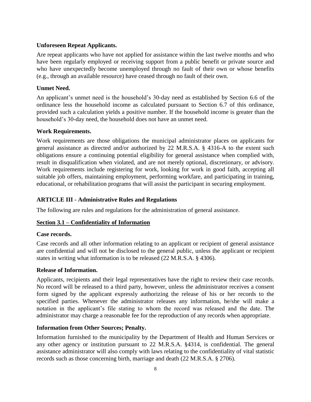#### <span id="page-15-0"></span>**Unforeseen Repeat Applicants.**

Are repeat applicants who have not applied for assistance within the last twelve months and who have been regularly employed or receiving support from a public benefit or private source and who have unexpectedly become unemployed through no fault of their own or whose benefits (e.g., through an available resource) have ceased through no fault of their own.

# <span id="page-15-1"></span>**Unmet Need.**

An applicant's unmet need is the household's 30-day need as established by Section 6.6 of the ordinance less the household income as calculated pursuant to Section 6.7 of this ordinance, provided such a calculation yields a positive number. If the household income is greater than the household's 30-day need, the household does not have an unmet need.

# <span id="page-15-2"></span>**Work Requirements.**

Work requirements are those obligations the municipal administrator places on applicants for general assistance as directed and/or authorized by 22 M.R.S.A. § 4316-A to the extent such obligations ensure a continuing potential eligibility for general assistance when complied with, result in disqualification when violated, and are not merely optional, discretionary, or advisory. Work requirements include registering for work, looking for work in good faith, accepting all suitable job offers, maintaining employment, performing workfare, and participating in training, educational, or rehabilitation programs that will assist the participant in securing employment.

# <span id="page-15-3"></span>**ARTICLE III - Administrative Rules and Regulations**

The following are rules and regulations for the administration of general assistance.

# <span id="page-15-4"></span>**Section 3.1 – Confidentiality of Information**

#### <span id="page-15-5"></span>**Case records.**

Case records and all other information relating to an applicant or recipient of general assistance are confidential and will not be disclosed to the general public, unless the applicant or recipient states in writing what information is to be released (22 M.R.S.A. § 4306).

#### <span id="page-15-6"></span>**Release of Information.**

Applicants, recipients and their legal representatives have the right to review their case records. No record will be released to a third party, however, unless the administrator receives a consent form signed by the applicant expressly authorizing the release of his or her records to the specified parties. Whenever the administrator releases any information, he/she will make a notation in the applicant's file stating to whom the record was released and the date. The administrator may charge a reasonable fee for the reproduction of any records when appropriate.

# <span id="page-15-7"></span>**Information from Other Sources; Penalty.**

Information furnished to the municipality by the Department of Health and Human Services or any other agency or institution pursuant to 22 M.R.S.A. §4314, is confidential. The general assistance administrator will also comply with laws relating to the confidentiality of vital statistic records such as those concerning birth, marriage and death (22 M.R.S.A. § 2706).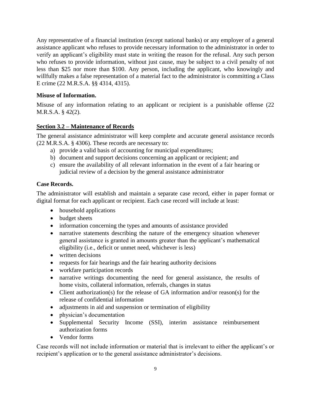Any representative of a financial institution (except national banks) or any employer of a general assistance applicant who refuses to provide necessary information to the administrator in order to verify an applicant's eligibility must state in writing the reason for the refusal. Any such person who refuses to provide information, without just cause, may be subject to a civil penalty of not less than \$25 nor more than \$100. Any person, including the applicant, who knowingly and willfully makes a false representation of a material fact to the administrator is committing a Class E crime (22 M.R.S.A. §§ 4314, 4315).

# <span id="page-16-0"></span>**Misuse of Information.**

Misuse of any information relating to an applicant or recipient is a punishable offense (22 M.R.S.A. § 42(2).

# <span id="page-16-1"></span>**Section 3.2 – Maintenance of Records**

The general assistance administrator will keep complete and accurate general assistance records (22 M.R.S.A. § 4306). These records are necessary to:

- a) provide a valid basis of accounting for municipal expenditures;
- b) document and support decisions concerning an applicant or recipient; and
- c) ensure the availability of all relevant information in the event of a fair hearing or judicial review of a decision by the general assistance administrator

# <span id="page-16-2"></span>**Case Records.**

The administrator will establish and maintain a separate case record, either in paper format or digital format for each applicant or recipient. Each case record will include at least:

- household applications
- budget sheets
- information concerning the types and amounts of assistance provided
- narrative statements describing the nature of the emergency situation whenever general assistance is granted in amounts greater than the applicant's mathematical eligibility (i.e., deficit or unmet need, whichever is less)
- written decisions
- requests for fair hearings and the fair hearing authority decisions
- workfare participation records
- narrative writings documenting the need for general assistance, the results of home visits, collateral information, referrals, changes in status
- Client authorization(s) for the release of GA information and/or reason(s) for the release of confidential information
- adjustments in aid and suspension or termination of eligibility
- physician's documentation
- Supplemental Security Income (SSI), interim assistance reimbursement authorization forms
- Vendor forms

Case records will not include information or material that is irrelevant to either the applicant's or recipient's application or to the general assistance administrator's decisions.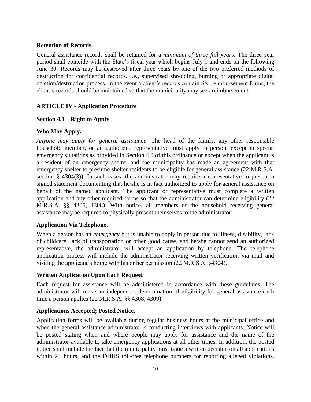#### <span id="page-17-0"></span>**Retention of Records.**

General assistance records shall be retained for a *minimum of three full years*. The three year period shall coincide with the State's fiscal year which begins July 1 and ends on the following June 30. Records may be destroyed after three years by one of the two preferred methods of destruction for confidential records, i.e., supervised shredding, burning or appropriate digital deletion/destruction process. In the event a client's records contain SSI reimbursement forms, the client's records should be maintained so that the municipality may seek reimbursement.

# <span id="page-17-1"></span>**ARTICLE IV - Application Procedure**

#### <span id="page-17-2"></span>**Section 4.1 – Right to Apply**

# <span id="page-17-3"></span>**Who May Apply.**

*Anyone may apply for general assistance*. The head of the family, any other responsible household member, or an authorized representative must apply in person, except in special emergency situations as provided in Section 4.9 of this ordinance or except when the applicant is a resident of an emergency shelter and the municipality has made an agreement with that emergency shelter to presume shelter residents to be eligible for general assistance (22 M.R.S.A. section § 4304(3)). In such cases, the administrator may require a representative to present a signed statement documenting that he/she is in fact authorized to apply for general assistance on behalf of the named applicant. The applicant or representative must complete a written application and any other required forms so that the administrator can determine eligibility (22 M.R.S.A. §§ 4305, 4308). With notice, all members of the household receiving general assistance may be required to physically present themselves to the administrator.

#### <span id="page-17-4"></span>**Application Via Telephone.**

When a person has an *emergency* but is unable to apply in person due to illness, disability, lack of childcare, lack of transportation or other good cause, and he/she cannot send an authorized representative, the administrator will accept an application by telephone. The telephone application process will include the administrator receiving written verification via mail and visiting the applicant's home with his or her permission (22 M.R.S.A. §4304).

#### <span id="page-17-5"></span>**Written Application Upon Each Request.**

Each request for assistance will be administered in accordance with these guidelines. The administrator will make an independent determination of eligibility for general assistance each time a person applies (22 M.R.S.A. §§ 4308, 4309).

#### <span id="page-17-6"></span>**Applications Accepted; Posted Notice.**

Application forms will be available during regular business hours at the municipal office and when the general assistance administrator is conducting interviews with applicants. Notice will be posted stating when and where people may apply for assistance and the name of the administrator available to take emergency applications at all other times. In addition, the posted notice shall include the fact that the municipality must issue a written decision on all applications within 24 hours, and the DHHS toll-free telephone numbers for reporting alleged violations.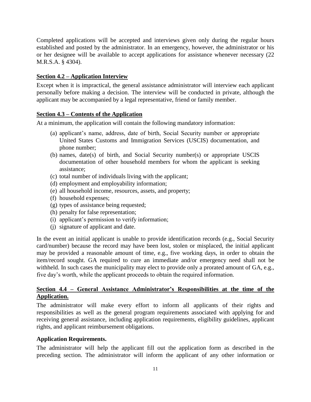Completed applications will be accepted and interviews given only during the regular hours established and posted by the administrator. In an emergency, however, the administrator or his or her designee will be available to accept applications for assistance whenever necessary (22 M.R.S.A. § 4304).

# <span id="page-18-0"></span>**Section 4.2 – Application Interview**

Except when it is impractical, the general assistance administrator will interview each applicant personally before making a decision. The interview will be conducted in private, although the applicant may be accompanied by a legal representative, friend or family member.

# <span id="page-18-1"></span>**Section 4.3 – Contents of the Application**

At a minimum, the application will contain the following mandatory information:

- (a) applicant's name, address, date of birth, Social Security number or appropriate United States Customs and Immigration Services (USCIS) documentation, and phone number;
- (b) names, date(s) of birth, and Social Security number(s) or appropriate USCIS documentation of other household members for whom the applicant is seeking assistance;
- (c) total number of individuals living with the applicant;
- (d) employment and employability information;
- (e) all household income, resources, assets, and property;
- (f) household expenses;
- (g) types of assistance being requested;
- (h) penalty for false representation;
- (i) applicant's permission to verify information;
- (j) signature of applicant and date.

In the event an initial applicant is unable to provide identification records (e.g., Social Security card/number) because the record may have been lost, stolen or misplaced, the initial applicant may be provided a reasonable amount of time, e.g., five working days, in order to obtain the item/record sought. GA required to cure an immediate and/or emergency need shall not be withheld. In such cases the municipality may elect to provide only a prorated amount of GA, e.g., five day's worth, while the applicant proceeds to obtain the required information.

# <span id="page-18-2"></span>**Section 4.4 – General Assistance Administrator's Responsibilities at the time of the Application.**

The administrator will make every effort to inform all applicants of their rights and responsibilities as well as the general program requirements associated with applying for and receiving general assistance, including application requirements, eligibility guidelines, applicant rights, and applicant reimbursement obligations.

# <span id="page-18-3"></span>**Application Requirements.**

The administrator will help the applicant fill out the application form as described in the preceding section. The administrator will inform the applicant of any other information or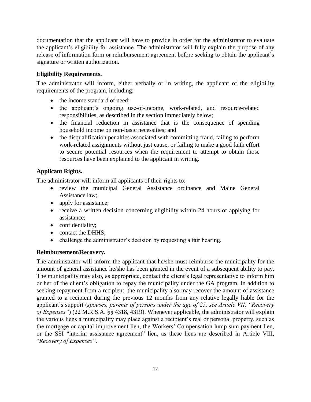documentation that the applicant will have to provide in order for the administrator to evaluate the applicant's eligibility for assistance. The administrator will fully explain the purpose of any release of information form or reimbursement agreement before seeking to obtain the applicant's signature or written authorization.

# <span id="page-19-0"></span>**Eligibility Requirements.**

The administrator will inform, either verbally or in writing, the applicant of the eligibility requirements of the program, including:

- the income standard of need;
- the applicant's ongoing use-of-income, work-related, and resource-related responsibilities, as described in the section immediately below;
- the financial reduction in assistance that is the consequence of spending household income on non-basic necessities; and
- the disqualification penalties associated with committing fraud, failing to perform work-related assignments without just cause, or failing to make a good faith effort to secure potential resources when the requirement to attempt to obtain those resources have been explained to the applicant in writing.

# <span id="page-19-1"></span>**Applicant Rights.**

The administrator will inform all applicants of their rights to:

- review the municipal General Assistance ordinance and Maine General Assistance law;
- apply for assistance;
- receive a written decision concerning eligibility within 24 hours of applying for assistance;
- confidentiality;
- contact the DHHS;
- challenge the administrator's decision by requesting a fair hearing.

# <span id="page-19-2"></span>**Reimbursement/Recovery.**

The administrator will inform the applicant that he/she must reimburse the municipality for the amount of general assistance he/she has been granted in the event of a subsequent ability to pay. The municipality may also, as appropriate, contact the client's legal representative to inform him or her of the client's obligation to repay the municipality under the GA program. In addition to seeking repayment from a recipient, the municipality also may recover the amount of assistance granted to a recipient during the previous 12 months from any relative legally liable for the applicant's support (*spouses, parents of persons under the age of 25, see Article VII, "Recovery of Expenses"*) (22 M.R.S.A. §§ 4318, 4319). Whenever applicable, the administrator will explain the various liens a municipality may place against a recipient's real or personal property, such as the mortgage or capital improvement lien, the Workers' Compensation lump sum payment lien, or the SSI "interim assistance agreement" lien, as these liens are described in Article VIII, "*Recovery of Expenses"*.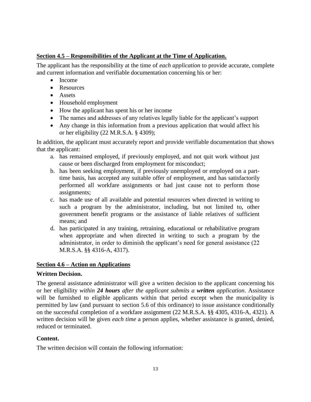# <span id="page-20-0"></span>**Section 4.5 – Responsibilities of the Applicant at the Time of Application.**

The applicant has the responsibility at the time of *each application* to provide accurate, complete and current information and verifiable documentation concerning his or her:

- Income
- Resources
- Assets
- Household employment
- How the applicant has spent his or her income
- The names and addresses of any relatives legally liable for the applicant's support
- Any change in this information from a previous application that would affect his or her eligibility (22 M.R.S.A. § 4309);

In addition, the applicant must accurately report and provide verifiable documentation that shows that the applicant:

- a. has remained employed, if previously employed, and not quit work without just cause or been discharged from employment for misconduct;
- b. has been seeking employment, if previously unemployed or employed on a parttime basis, has accepted any suitable offer of employment, and has satisfactorily performed all workfare assignments or had just cause not to perform those assignments;
- c. has made use of all available and potential resources when directed in writing to such a program by the administrator, including, but not limited to, other government benefit programs or the assistance of liable relatives of sufficient means; and
- d. has participated in any training, retraining, educational or rehabilitative program when appropriate and when directed in writing to such a program by the administrator, in order to diminish the applicant's need for general assistance (22 M.R.S.A. §§ 4316-A, 4317).

#### <span id="page-20-1"></span>**Section 4.6 – Action on Applications**

#### <span id="page-20-2"></span>**Written Decision.**

The general assistance administrator will give a written decision to the applicant concerning his or her eligibility *within 24 hours after the applicant submits a written application*. Assistance will be furnished to eligible applicants within that period except when the municipality is permitted by law (and pursuant to section 5.6 of this ordinance) to issue assistance conditionally on the successful completion of a workfare assignment (22 M.R.S.A. §§ 4305, 4316-A, 4321). A written decision will be given *each time* a person applies, whether assistance is granted, denied, reduced or terminated.

#### <span id="page-20-3"></span>**Content.**

The written decision will contain the following information: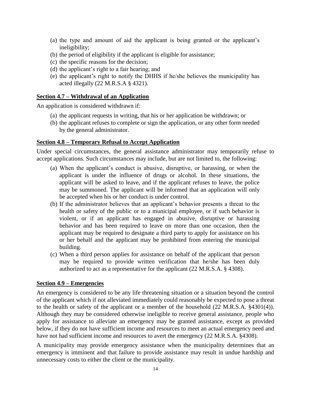- (a) the type and amount of aid the applicant is being granted or the applicant's ineligibility;
- (b) the period of eligibility if the applicant is eligible for assistance;
- (c) the specific reasons for the decision;
- (d) the applicant's right to a fair hearing; and
- (e) the applicant's right to notify the DHHS if he/she believes the municipality has acted illegally (22 M.R.S.A § 4321).

#### <span id="page-21-0"></span>**Section 4.7 – Withdrawal of an Application**

An application is considered withdrawn if:

- (a) the applicant requests in writing, that his or her application be withdrawn; or
- (b) the applicant refuses to complete or sign the application, or any other form needed by the general administrator.

#### <span id="page-21-1"></span>**Section 4.8 – Temporary Refusal to Accept Application**

Under special circumstances, the general assistance administrator may temporarily refuse to accept applications. Such circumstances may include, but are not limited to, the following:

- (a) When the applicant's conduct is abusive, disruptive, or harassing, or when the applicant is under the influence of drugs or alcohol. In these situations, the applicant will be asked to leave, and if the applicant refuses to leave, the police may be summoned. The applicant will be informed that an application will only be accepted when his or her conduct is under control.
- (b) If the administrator believes that an applicant's behavior presents a threat to the health or safety of the public or to a municipal employee, or if such behavior is violent, or if an applicant has engaged in abusive, disruptive or harassing behavior and has been required to leave on more than one occasion, then the applicant may be required to designate a third party to apply for assistance on his or her behalf and the applicant may be prohibited from entering the municipal building.
- (c) When a third person applies for assistance on behalf of the applicant that person may be required to provide written verification that he/she has been duly authorized to act as a representative for the applicant (22 M.R.S.A. § 4308).

#### <span id="page-21-2"></span>**Section 4.9 – Emergencies**

An emergency is considered to be any life threatening situation or a situation beyond the control of the applicant which if not alleviated immediately could reasonably be expected to pose a threat to the health or safety of the applicant or a member of the household (22 M.R.S.A. §4301(4)). Although they may be considered otherwise ineligible to receive general assistance, people who apply for assistance to alleviate an emergency may be granted assistance, except as provided below, if they do not have sufficient income and resources to meet an actual emergency need and have not had sufficient income and resources to avert the emergency (22 M.R.S.A. §4308).

A municipality may provide emergency assistance when the municipality determines that an emergency is imminent and that failure to provide assistance may result in undue hardship and unnecessary costs to either the client or the municipality.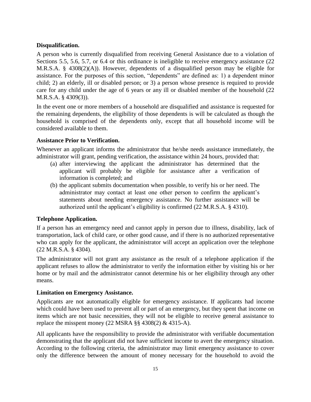#### <span id="page-22-0"></span>**Disqualification.**

A person who is currently disqualified from receiving General Assistance due to a violation of Sections 5.5, 5.6, 5.7, or 6.4 or this ordinance is ineligible to receive emergency assistance (22) M.R.S.A. § 4308(2)(A)). However, dependents of a disqualified person may be eligible for assistance. For the purposes of this section, "dependents" are defined as: 1) a dependent minor child; 2) an elderly, ill or disabled person; or 3) a person whose presence is required to provide care for any child under the age of 6 years or any ill or disabled member of the household (22 M.R.S.A. § 4309(3)).

In the event one or more members of a household are disqualified and assistance is requested for the remaining dependents, the eligibility of those dependents is will be calculated as though the household is comprised of the dependents only, except that all household income will be considered available to them.

# <span id="page-22-1"></span>**Assistance Prior to Verification.**

Whenever an applicant informs the administrator that he/she needs assistance immediately, the administrator will grant, pending verification, the assistance within 24 hours, provided that:

- (a) after interviewing the applicant the administrator has determined that the applicant will probably be eligible for assistance after a verification of information is completed; and
- (b) the applicant submits documentation when possible, to verify his or her need. The administrator may contact at least one other person to confirm the applicant's statements about needing emergency assistance. No further assistance will be authorized until the applicant's eligibility is confirmed (22 M.R.S.A. § 4310).

# <span id="page-22-2"></span>**Telephone Application.**

If a person has an emergency need and cannot apply in person due to illness, disability, lack of transportation, lack of child care, or other good cause, and if there is no authorized representative who can apply for the applicant, the administrator will accept an application over the telephone (22 M.R.S.A. § 4304).

The administrator will not grant any assistance as the result of a telephone application if the applicant refuses to allow the administrator to verify the information either by visiting his or her home or by mail and the administrator cannot determine his or her eligibility through any other means.

#### <span id="page-22-3"></span>**Limitation on Emergency Assistance.**

Applicants are not automatically eligible for emergency assistance. If applicants had income which could have been used to prevent all or part of an emergency, but they spent that income on items which are not basic necessities, they will not be eligible to receive general assistance to replace the misspent money (22 MSRA  $\S$ § 4308(2) & 4315-A).

All applicants have the responsibility to provide the administrator with verifiable documentation demonstrating that the applicant did not have sufficient income to avert the emergency situation. According to the following criteria, the administrator may limit emergency assistance to cover only the difference between the amount of money necessary for the household to avoid the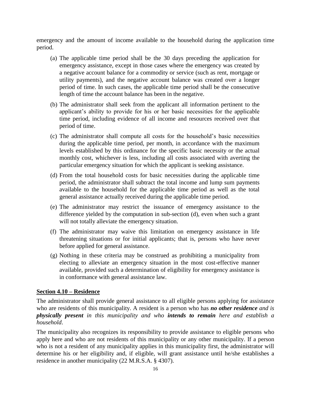emergency and the amount of income available to the household during the application time period.

- (a) The applicable time period shall be the 30 days preceding the application for emergency assistance, except in those cases where the emergency was created by a negative account balance for a commodity or service (such as rent, mortgage or utility payments), and the negative account balance was created over a longer period of time. In such cases, the applicable time period shall be the consecutive length of time the account balance has been in the negative.
- (b) The administrator shall seek from the applicant all information pertinent to the applicant's ability to provide for his or her basic necessities for the applicable time period, including evidence of all income and resources received over that period of time.
- (c) The administrator shall compute all costs for the household's basic necessities during the applicable time period, per month, in accordance with the maximum levels established by this ordinance for the specific basic necessity or the actual monthly cost, whichever is less, including all costs associated with averting the particular emergency situation for which the applicant is seeking assistance.
- (d) From the total household costs for basic necessities during the applicable time period, the administrator shall subtract the total income and lump sum payments available to the household for the applicable time period as well as the total general assistance actually received during the applicable time period.
- (e) The administrator may restrict the issuance of emergency assistance to the difference yielded by the computation in sub-section (d), even when such a grant will not totally alleviate the emergency situation.
- (f) The administrator may waive this limitation on emergency assistance in life threatening situations or for initial applicants; that is, persons who have never before applied for general assistance.
- (g) Nothing in these criteria may be construed as prohibiting a municipality from electing to alleviate an emergency situation in the most cost-effective manner available, provided such a determination of eligibility for emergency assistance is in conformance with general assistance law.

#### <span id="page-23-0"></span>**Section 4.10 – Residence**

The administrator shall provide general assistance to all eligible persons applying for assistance who are residents of this municipality. A resident is a person who has *no other residence and is physically present in this municipality and who intends to remain here and establish a household*.

The municipality also recognizes its responsibility to provide assistance to eligible persons who apply here and who are not residents of this municipality or any other municipality. If a person who is not a resident of any municipality applies in this municipality first, the administrator will determine his or her eligibility and, if eligible, will grant assistance until he/she establishes a residence in another municipality (22 M.R.S.A. § 4307).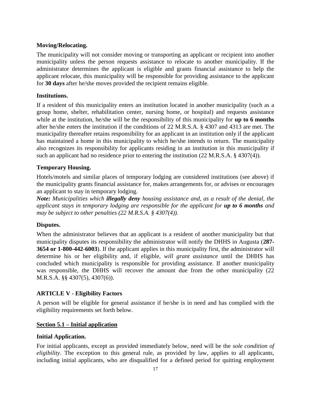# <span id="page-24-0"></span>**Moving/Relocating.**

The municipality will not consider moving or transporting an applicant or recipient into another municipality unless the person requests assistance to relocate to another municipality. If the administrator determines the applicant is eligible and grants financial assistance to help the applicant relocate, this municipality will be responsible for providing assistance to the applicant for **30 days** after he/she moves provided the recipient remains eligible.

#### <span id="page-24-1"></span>**Institutions.**

If a resident of this municipality enters an institution located in another municipality (such as a group home, shelter, rehabilitation center, nursing home, or hospital) and requests assistance while at the institution, he/she will be the responsibility of this municipality for **up to 6 months** after he/she enters the institution if the conditions of 22 M.R.S.A. § 4307 and 4313 are met. The municipality thereafter retains responsibility for an applicant in an institution only if the applicant has maintained a home in this municipality to which he/she intends to return. The municipality also recognizes its responsibility for applicants residing in an institution in this municipality if such an applicant had no residence prior to entering the institution (22 M.R.S.A. § 4307(4)).

# <span id="page-24-2"></span>**Temporary Housing.**

Hotels/motels and similar places of temporary lodging are considered institutions (see above) if the municipality grants financial assistance for, makes arrangements for, or advises or encourages an applicant to stay in temporary lodging.

*Note: Municipalities which illegally deny housing assistance and, as a result of the denial, the applicant stays in temporary lodging are responsible for the applicant for up to 6 months and may be subject to other penalties (22 M.R.S.A. § 4307(4)).*

#### <span id="page-24-3"></span>**Disputes.**

When the administrator believes that an applicant is a resident of another municipality but that municipality disputes its responsibility the administrator will notify the DHHS in Augusta (**287- 3654 or 1-800-442-6003**). If the applicant applies in this municipality first, the administrator will determine his or her eligibility and, if eligible, *will grant assistance* until the DHHS has concluded which municipality is responsible for providing assistance. If another municipality was responsible, the DHHS will recover the amount due from the other municipality (22 M.R.S.A. §§ 4307(5), 4307(6)).

# <span id="page-24-4"></span>**ARTICLE V - Eligibility Factors**

A person will be eligible for general assistance if he/she is in need and has complied with the eligibility requirements set forth below.

#### <span id="page-24-5"></span>**Section 5.1 – Initial application**

# <span id="page-24-6"></span>**Initial Application.**

For initial applicants, except as provided immediately below, need will be the *sole condition of eligibility*. The exception to this general rule, as provided by law, applies to all applicants, including initial applicants, who are disqualified for a defined period for quitting employment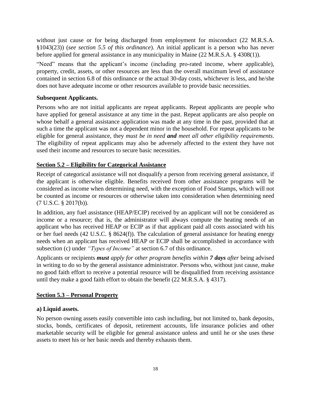without just cause or for being discharged from employment for misconduct (22 M.R.S.A. §1043(23)) (*see section 5.5 of this ordinance*). An initial applicant is a person who has never before applied for general assistance in any municipality in Maine (22 M.R.S.A. § 4308(1)).

"Need" means that the applicant's income (including pro-rated income, where applicable), property, credit, assets, or other resources are less than the overall maximum level of assistance contained in section 6.8 of this ordinance or the actual 30-day costs, whichever is less, and he/she does not have adequate income or other resources available to provide basic necessities.

# <span id="page-25-0"></span>**Subsequent Applicants.**

Persons who are not initial applicants are repeat applicants. Repeat applicants are people who have applied for general assistance at any time in the past. Repeat applicants are also people on whose behalf a general assistance application was made at any time in the past, provided that at such a time the applicant was not a dependent minor in the household. For repeat applicants to be eligible for general assistance, they *must be in need and meet all other eligibility requirements*. The eligibility of repeat applicants may also be adversely affected to the extent they have not used their income and resources to secure basic necessities.

# <span id="page-25-1"></span>**Section 5.2 – Eligibility for Categorical Assistance**

Receipt of categorical assistance will not disqualify a person from receiving general assistance, if the applicant is otherwise eligible. Benefits received from other assistance programs will be considered as income when determining need, with the exception of Food Stamps, which will not be counted as income or resources or otherwise taken into consideration when determining need (7 U.S.C. § 2017(b)).

In addition, any fuel assistance (HEAP/ECIP) received by an applicant will not be considered as income or a resource; that is, the administrator will always compute the heating needs of an applicant who has received HEAP or ECIP as if that applicant paid all costs associated with his or her fuel needs (42 U.S.C. § 8624(f)). The calculation of general assistance for heating energy needs when an applicant has received HEAP or ECIP shall be accomplished in accordance with subsection (c) under *"Types of Income"* at section 6.7 of this ordinance.

Applicants or recipients *must apply for other program benefits within 7 days after* being advised in writing to do so by the general assistance administrator. Persons who, without just cause, make no good faith effort to receive a potential resource will be disqualified from receiving assistance until they make a good faith effort to obtain the benefit (22 M.R.S.A. § 4317).

#### <span id="page-25-2"></span>**Section 5.3 – Personal Property**

#### <span id="page-25-3"></span>**a) Liquid assets.**

<span id="page-25-4"></span>No person owning assets easily convertible into cash including, but not limited to, bank deposits, stocks, bonds, certificates of deposit, retirement accounts, life insurance policies and other marketable security will be eligible for general assistance unless and until he or she uses these assets to meet his or her basic needs and thereby exhausts them.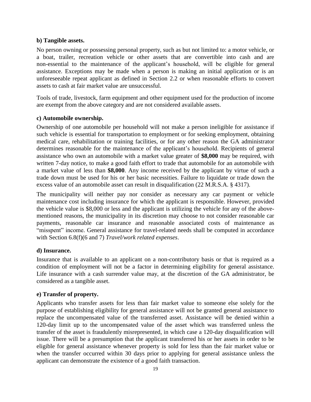#### **b) Tangible assets.**

No person owning or possessing personal property, such as but not limited to: a motor vehicle, or a boat, trailer, recreation vehicle or other assets that are convertible into cash and are non-essential to the maintenance of the applicant's household, will be eligible for general assistance. Exceptions may be made when a person is making an initial application or is an unforeseeable repeat applicant as defined in Section 2.2 or when reasonable efforts to convert assets to cash at fair market value are unsuccessful.

Tools of trade, livestock, farm equipment and other equipment used for the production of income are exempt from the above category and are not considered available assets.

# <span id="page-26-0"></span>**c) Automobile ownership.**

Ownership of one automobile per household will not make a person ineligible for assistance if such vehicle is essential for transportation to employment or for seeking employment, obtaining medical care, rehabilitation or training facilities, or for any other reason the GA administrator determines reasonable for the maintenance of the applicant's household. Recipients of general assistance who own an automobile with a market value greater of **\$8,000** may be required, with written 7-day notice, to make a good faith effort to trade that automobile for an automobile with a market value of less than **\$8,000**. Any income received by the applicant by virtue of such a trade down must be used for his or her basic necessities. Failure to liquidate or trade down the excess value of an automobile asset can result in disqualification (22 M.R.S.A. § 4317).

The municipality will neither pay nor consider as necessary any car payment or vehicle maintenance cost including insurance for which the applicant is responsible. However, provided the vehicle value is \$8,000 or less and the applicant is utilizing the vehicle for any of the abovementioned reasons, the municipality in its discretion may choose to not consider reasonable car payments, reasonable car insurance and reasonable associated costs of maintenance as "misspent" income. General assistance for travel-related needs shall be computed in accordance with Section 6.8(f)(6 and 7) *Travel/work related expenses*.

# <span id="page-26-1"></span>**d) Insurance.**

Insurance that is available to an applicant on a non-contributory basis or that is required as a condition of employment will not be a factor in determining eligibility for general assistance. Life insurance with a cash surrender value may, at the discretion of the GA administrator, be considered as a tangible asset.

# <span id="page-26-2"></span>**e) Transfer of property.**

Applicants who transfer assets for less than fair market value to someone else solely for the purpose of establishing eligibility for general assistance will not be granted general assistance to replace the uncompensated value of the transferred asset. Assistance will be denied within a 120-day limit up to the uncompensated value of the asset which was transferred unless the transfer of the asset is fraudulently misrepresented, in which case a 120-day disqualification will issue. There will be a presumption that the applicant transferred his or her assets in order to be eligible for general assistance whenever property is sold for less than the fair market value or when the transfer occurred within 30 days prior to applying for general assistance unless the applicant can demonstrate the existence of a good faith transaction.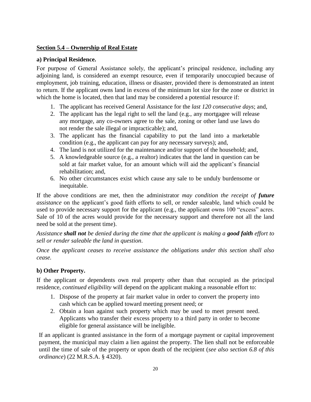# <span id="page-27-0"></span>**Section 5.4 – Ownership of Real Estate**

#### <span id="page-27-1"></span>**a) Principal Residence.**

For purpose of General Assistance solely, the applicant's principal residence, including any adjoining land, is considered an exempt resource, even if temporarily unoccupied because of employment, job training, education, illness or disaster, provided there is demonstrated an intent to return. If the applicant owns land in excess of the minimum lot size for the zone or district in which the home is located, then that land may be considered a potential resource if:

- 1. The applicant has received General Assistance for the *last 120 consecutive days*; and,
- 2. The applicant has the legal right to sell the land (e.g., any mortgagee will release any mortgage, any co-owners agree to the sale, zoning or other land use laws do not render the sale illegal or impracticable); and,
- 3. The applicant has the financial capability to put the land into a marketable condition (e.g., the applicant can pay for any necessary surveys); and,
- 4. The land is not utilized for the maintenance and/or support of the household; and,
- 5. A knowledgeable source (e.g., a realtor) indicates that the land in question can be sold at fair market value, for an amount which will aid the applicant's financial rehabilitation; and,
- 6. No other circumstances exist which cause any sale to be unduly burdensome or inequitable.

If the above conditions are met, then the administrator *may condition the receipt of future assistance* on the applicant's good faith efforts to sell, or render saleable, land which could be used to provide necessary support for the applicant (e.g., the applicant owns 100 "excess" acres. Sale of 10 of the acres would provide for the necessary support and therefore not all the land need be sold at the present time).

*Assistance shall not be denied during the time that the applicant is making a good faith effort to sell or render saleable the land in question*.

*Once the applicant ceases to receive assistance the obligations under this section shall also cease.*

# <span id="page-27-2"></span>**b) Other Property.**

If the applicant or dependents own real property other than that occupied as the principal residence, *continued eligibility* will depend on the applicant making a reasonable effort to:

- 1. Dispose of the property at fair market value in order to convert the property into cash which can be applied toward meeting present need; or
- 2. Obtain a loan against such property which may be used to meet present need. Applicants who transfer their excess property to a third party in order to become eligible for general assistance will be ineligible.

If an applicant is granted assistance in the form of a mortgage payment or capital improvement payment, the municipal may claim a lien against the property. The lien shall not be enforceable until the time of sale of the property or upon death of the recipient (*see also section 6.8 of this ordinance*) (22 M.R.S.A. § 4320).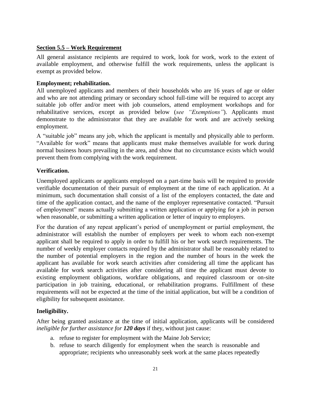# <span id="page-28-0"></span>**Section 5.5 – Work Requirement**

All general assistance recipients are required to work, look for work, work to the extent of available employment, and otherwise fulfill the work requirements, unless the applicant is exempt as provided below.

# <span id="page-28-1"></span>**Employment; rehabilitation.**

All unemployed applicants and members of their households who are 16 years of age or older and who are not attending primary or secondary school full-time will be required to accept any suitable job offer and/or meet with job counselors, attend employment workshops and for rehabilitative services, except as provided below (*see "Exemptions"*). Applicants must demonstrate to the administrator that they are available for work and are actively seeking employment.

A "suitable job" means any job, which the applicant is mentally and physically able to perform. "Available for work" means that applicants must make themselves available for work during normal business hours prevailing in the area, and show that no circumstance exists which would prevent them from complying with the work requirement.

# <span id="page-28-2"></span>**Verification.**

Unemployed applicants or applicants employed on a part-time basis will be required to provide verifiable documentation of their pursuit of employment at the time of each application. At a minimum, such documentation shall consist of a list of the employers contacted, the date and time of the application contact, and the name of the employer representative contacted. "Pursuit of employment" means actually submitting a written application or applying for a job in person when reasonable, or submitting a written application or letter of inquiry to employers.

For the duration of any repeat applicant's period of unemployment or partial employment, the administrator will establish the number of employers per week to whom each non-exempt applicant shall be required to apply in order to fulfill his or her work search requirements. The number of weekly employer contacts required by the administrator shall be reasonably related to the number of potential employers in the region and the number of hours in the week the applicant has available for work search activities after considering all time the applicant has available for work search activities after considering all time the applicant must devote to existing employment obligations, workfare obligations, and required classroom or on-site participation in job training, educational, or rehabilitation programs. Fulfillment of these requirements will not be expected at the time of the initial application, but will be a condition of eligibility for subsequent assistance.

# <span id="page-28-3"></span>**Ineligibility.**

After being granted assistance at the time of initial application, applicants will be considered *ineligible for further assistance for 120 days* if they, without just cause:

- a. refuse to register for employment with the Maine Job Service;
- b. refuse to search diligently for employment when the search is reasonable and appropriate; recipients who unreasonably seek work at the same places repeatedly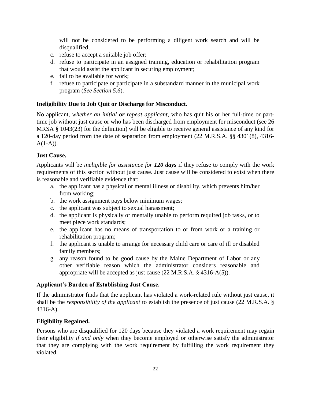will not be considered to be performing a diligent work search and will be disqualified;

- c. refuse to accept a suitable job offer;
- d. refuse to participate in an assigned training, education or rehabilitation program that would assist the applicant in securing employment;
- e. fail to be available for work;
- f. refuse to participate or participate in a substandard manner in the municipal work program (*See Section 5.6*).

# <span id="page-29-0"></span>**Ineligibility Due to Job Quit or Discharge for Misconduct.**

No applicant, *whether an initial or repeat applicant*, who has quit his or her full-time or parttime job without just cause or who has been discharged from employment for misconduct (see 26 MRSA § 1043(23) for the definition) will be eligible to receive general assistance of any kind for a 120-day period from the date of separation from employment (22 M.R.S.A. §§ 4301(8), 4316-  $A(1-A)$ ).

# <span id="page-29-1"></span>**Just Cause.**

Applicants will be *ineligible for assistance for 120 days* if they refuse to comply with the work requirements of this section without just cause. Just cause will be considered to exist when there is reasonable and verifiable evidence that:

- a. the applicant has a physical or mental illness or disability, which prevents him/her from working;
- b. the work assignment pays below minimum wages;
- c. the applicant was subject to sexual harassment;
- d. the applicant is physically or mentally unable to perform required job tasks, or to meet piece work standards;
- e. the applicant has no means of transportation to or from work or a training or rehabilitation program;
- f. the applicant is unable to arrange for necessary child care or care of ill or disabled family members;
- g. any reason found to be good cause by the Maine Department of Labor or any other verifiable reason which the administrator considers reasonable and appropriate will be accepted as just cause (22 M.R.S.A. § 4316-A(5)).

# <span id="page-29-2"></span>**Applicant's Burden of Establishing Just Cause.**

If the administrator finds that the applicant has violated a work-related rule without just cause, it shall be the *responsibility of the applicant* to establish the presence of just cause (22 M.R.S.A. § 4316-A).

# <span id="page-29-3"></span>**Eligibility Regained.**

Persons who are disqualified for 120 days because they violated a work requirement may regain their eligibility *if and only* when they become employed or otherwise satisfy the administrator that they are complying with the work requirement by fulfilling the work requirement they violated.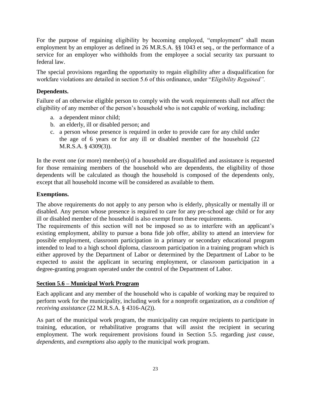For the purpose of regaining eligibility by becoming employed, "employment" shall mean employment by an employer as defined in 26 M.R.S.A. §§ 1043 et seq., or the performance of a service for an employer who withholds from the employee a social security tax pursuant to federal law.

The special provisions regarding the opportunity to regain eligibility after a disqualification for workfare violations are detailed in section 5.6 of this ordinance, under "*Eligibility Regained".*

#### <span id="page-30-0"></span>**Dependents.**

Failure of an otherwise eligible person to comply with the work requirements shall not affect the eligibility of any member of the person's household who is not capable of working, including:

- a. a dependent minor child;
- b. an elderly, ill or disabled person; and
- c. a person whose presence is required in order to provide care for any child under the age of 6 years or for any ill or disabled member of the household (22 M.R.S.A. § 4309(3)).

In the event one (or more) member(s) of a household are disqualified and assistance is requested for those remaining members of the household who are dependents, the eligibility of those dependents will be calculated as though the household is composed of the dependents only, except that all household income will be considered as available to them.

# <span id="page-30-1"></span>**Exemptions.**

The above requirements do not apply to any person who is elderly, physically or mentally ill or disabled. Any person whose presence is required to care for any pre-school age child or for any ill or disabled member of the household is also exempt from these requirements.

The requirements of this section will not be imposed so as to interfere with an applicant's existing employment, ability to pursue a bona fide job offer, ability to attend an interview for possible employment, classroom participation in a primary or secondary educational program intended to lead to a high school diploma, classroom participation in a training program which is either approved by the Department of Labor or determined by the Department of Labor to be expected to assist the applicant in securing employment, or classroom participation in a degree-granting program operated under the control of the Department of Labor.

#### <span id="page-30-2"></span>**Section 5.6 – Municipal Work Program**

Each applicant and any member of the household who is capable of working may be required to perform work for the municipality, including work for a nonprofit organization, *as a condition of receiving assistance* (22 M.R.S.A. § 4316-A(2)).

<span id="page-30-3"></span>As part of the municipal work program, the municipality can require recipients to participate in training, education, or rehabilitative programs that will assist the recipient in securing employment. The work requirement provisions found in Section 5.5. regarding *just cause, dependents,* and *exemptions* also apply to the municipal work program.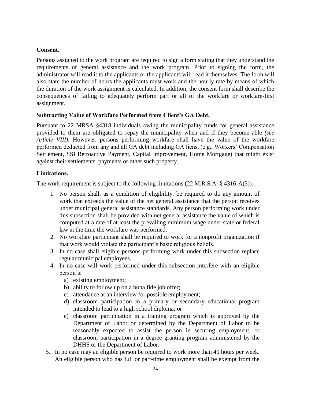# **Consent.**

Persons assigned to the work program are required to sign a form stating that they understand the requirements of general assistance and the work program. Prior to signing the form, the administrator will read it to the applicants or the applicants will read it themselves. The form will also state the number of hours the applicants must work and the hourly rate by means of which the duration of the work assignment is calculated. In addition, the consent form shall describe the consequences of failing to adequately perform part or all of the workfare or workfare-first assignment.

# <span id="page-31-0"></span>**Subtracting Value of Workfare Performed from Client's GA Debt.**

Pursuant to 22 MRSA §4318 individuals owing the municipality funds for general assistance provided to them are obligated to repay the municipality when and if they become able *(see Article VIII)*. However, persons performing workfare shall have the value of the workfare performed deducted from any and all GA debt including GA liens, (e.g., Workers' Compensation Settlement, SSI Retroactive Payment, Capital Improvement, Home Mortgage) that might exist against their settlements, payments or other such property.

#### <span id="page-31-1"></span>**Limitations.**

The work requirement is subject to the following limitations (22 M.R.S.A. § 4316-A(3)).

- 1. No person shall, as a condition of eligibility, be required to do any amount of work that exceeds the value of the net general assistance that the person receives under municipal general assistance standards. Any person performing work under this subsection shall be provided with net general assistance the value of which is computed at a rate of at least the prevailing minimum wage under state or federal law at the time the workfare was performed.
- 2. No workfare participant shall be required to work for a nonprofit organization if that work would violate the participant's basic religious beliefs.
- 3. In no case shall eligible persons performing work under this subsection replace regular municipal employees.
- 4. In no case will work performed under this subsection interfere with an eligible person's:
	- a) existing employment;
	- b) ability to follow up on a bona fide job offer;
	- c) attendance at an interview for possible employment;
	- d) classroom participation in a primary or secondary educational program intended to lead to a high school diploma; or
	- e) classroom participation in a training program which is approved by the Department of Labor or determined by the Department of Labor to be reasonably expected to assist the person in securing employment, or classroom participation in a degree granting program administered by the DHHS or the Department of Labor.
- 5. In no case may an eligible person be required to work more than 40 hours per week. An eligible person who has full or part-time employment shall be exempt from the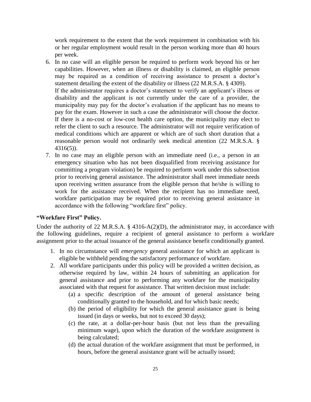work requirement to the extent that the work requirement in combination with his or her regular employment would result in the person working more than 40 hours per week.

- 6. In no case will an eligible person be required to perform work beyond his or her capabilities. However, when an illness or disability is claimed, an eligible person may be required as a condition of receiving assistance to present a doctor's statement detailing the extent of the disability or illness (22 M.R.S.A. § 4309). If the administrator requires a doctor's statement to verify an applicant's illness or disability and the applicant is not currently under the care of a provider, the municipality may pay for the doctor's evaluation if the applicant has no means to pay for the exam. However in such a case the administrator will choose the doctor. If there is a no-cost or low-cost health care option, the municipality may elect to refer the client to such a resource. The administrator will not require verification of medical conditions which are apparent or which are of such short duration that a reasonable person would not ordinarily seek medical attention (22 M.R.S.A. § 4316(5)).
- 7. In no case may an eligible person with an immediate need (i.e., a person in an emergency situation who has not been disqualified from receiving assistance for committing a program violation) be required to perform work under this subsection prior to receiving general assistance. The administrator shall meet immediate needs upon receiving written assurance from the eligible person that he/she is willing to work for the assistance received. When the recipient has no immediate need, workfare participation may be required prior to receiving general assistance in accordance with the following "workfare first" policy.

#### <span id="page-32-0"></span>**"Workfare First" Policy.**

Under the authority of 22 M.R.S.A. § 4316-A(2)(D), the administrator may, in accordance with the following guidelines, require a recipient of general assistance to perform a workfare assignment prior to the actual issuance of the general assistance benefit conditionally granted.

- 1. In no circumstance will *emergency* general assistance for which an applicant is eligible be withheld pending the satisfactory performance of workfare.
- 2. All workfare participants under this policy will be provided a written decision, as otherwise required by law, within 24 hours of submitting an application for general assistance and prior to performing any workfare for the municipality associated with that request for assistance. That written decision must include:
	- (a) a specific description of the amount of general assistance being conditionally granted to the household, and for which basic needs;
	- (b) the period of eligibility for which the general assistance grant is being issued (in days or weeks, but not to exceed 30 days);
	- (c) the rate, at a dollar-per-hour basis (but not less than the prevailing minimum wage), upon which the duration of the workfare assignment is being calculated;
	- (d) the actual duration of the workfare assignment that must be performed, in hours, before the general assistance grant will be actually issued;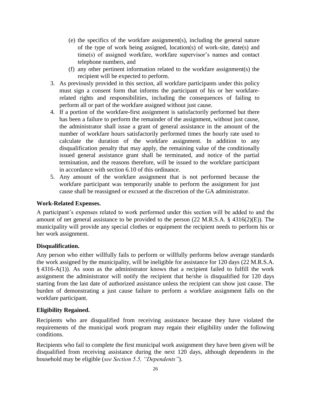- (e) the specifics of the workfare assignment(s), including the general nature of the type of work being assigned, location(s) of work-site, date(s) and time(s) of assigned workfare, workfare supervisor's names and contact telephone numbers, and
- (f) any other pertinent information related to the workfare assignment(s) the recipient will be expected to perform.
- 3. As previously provided in this section, all workfare participants under this policy must sign a consent form that informs the participant of his or her workfarerelated rights and responsibilities, including the consequences of failing to perform all or part of the workfare assigned without just cause.
- 4. If a portion of the workfare-first assignment is satisfactorily performed but there has been a failure to perform the remainder of the assignment, without just cause, the administrator shall issue a grant of general assistance in the amount of the number of workfare hours satisfactorily performed times the hourly rate used to calculate the duration of the workfare assignment. In addition to any disqualification penalty that may apply, the remaining value of the conditionally issued general assistance grant shall be terminated, and notice of the partial termination, and the reasons therefore, will be issued to the workfare participant in accordance with section 6.10 of this ordinance.
- 5. Any amount of the workfare assignment that is not performed because the workfare participant was temporarily unable to perform the assignment for just cause shall be reassigned or excused at the discretion of the GA administrator.

#### <span id="page-33-0"></span>**Work-Related Expenses.**

A participant's expenses related to work performed under this section will be added to and the amount of net general assistance to be provided to the person (22 M.R.S.A. § 4316(2)(E)). The municipality will provide any special clothes or equipment the recipient needs to perform his or her work assignment.

#### <span id="page-33-1"></span>**Disqualification.**

Any person who either willfully fails to perform or willfully performs below average standards the work assigned by the municipality, will be ineligible for assistance for 120 days (22 M.R.S.A. § 4316-A(1)). As soon as the administrator knows that a recipient failed to fulfill the work assignment the administrator will notify the recipient that he/she is disqualified for 120 days starting from the last date of authorized assistance unless the recipient can show just cause. The burden of demonstrating a just cause failure to perform a workfare assignment falls on the workfare participant.

#### <span id="page-33-2"></span>**Eligibility Regained.**

Recipients who are disqualified from receiving assistance because they have violated the requirements of the municipal work program may regain their eligibility under the following conditions.

Recipients who fail to complete the first municipal work assignment they have been given will be disqualified from receiving assistance during the next 120 days, although dependents in the household may be eligible (*see Section 5.5, "Dependents"*).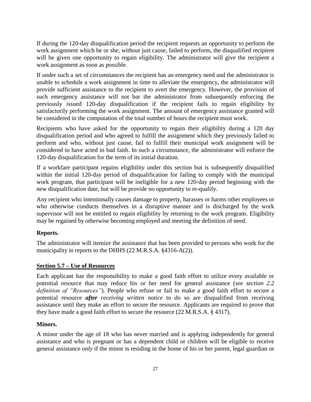If during the 120-day disqualification period the recipient requests an opportunity to perform the work assignment which he or she, without just cause, failed to perform, the disqualified recipient will be given one opportunity to regain eligibility. The administrator will give the recipient a work assignment as soon as possible.

If under such a set of circumstances the recipient has an emergency need and the administrator is unable to schedule a work assignment in time to alleviate the emergency, the administrator will provide sufficient assistance to the recipient to avert the emergency. However, the provision of such emergency assistance will not bar the administrator from subsequently enforcing the previously issued 120-day disqualification if the recipient fails to regain eligibility by satisfactorily performing the work assignment. The amount of emergency assistance granted will be considered in the computation of the total number of hours the recipient must work.

Recipients who have asked for the opportunity to regain their eligibility during a 120 day disqualification period and who agreed to fulfill the assignment which they previously failed to perform and who, without just cause, fail to fulfill their municipal work assignment will be considered to have acted in bad faith. In such a circumstance, the administrator will enforce the 120-day disqualification for the term of its initial duration.

If a workfare participant regains eligibility under this section but is subsequently disqualified within the initial 120-day period of disqualification for failing to comply with the municipal work program, that participant will be ineligible for a new 120-day period beginning with the new disqualification date, but will be provide no opportunity to re-qualify.

Any recipient who intentionally causes damage to property, harasses or harms other employees or who otherwise conducts themselves in a disruptive manner and is discharged by the work supervisor will not be entitled to regain eligibility by returning to the work program. Eligibility may be regained by otherwise becoming employed and meeting the definition of need.

# <span id="page-34-0"></span>**Reports.**

The administrator will itemize the assistance that has been provided to persons who work for the municipality in reports to the DHHS (22 M.R.S.A. §4316-A(2)).

# <span id="page-34-1"></span>**Section 5.7 – Use of Resources**

Each applicant has the responsibility to make a good faith effort to utilize every available or potential resource that may reduce his or her need for general assistance (*see section 2.2 definition of "Resources"*). People who refuse or fail to make a good faith effort to secure a potential resource *after receiving written notice* to do so are disqualified from receiving assistance until they make an effort to secure the resource. Applicants are required to prove that they have made a good faith effort to secure the resource (22 M.R.S.A. § 4317).

#### <span id="page-34-2"></span>**Minors.**

A minor under the age of 18 who has never married and is applying independently for general assistance and who is pregnant or has a dependent child or children will be eligible to receive general assistance *only* if the minor is residing in the home of his or her parent, legal guardian or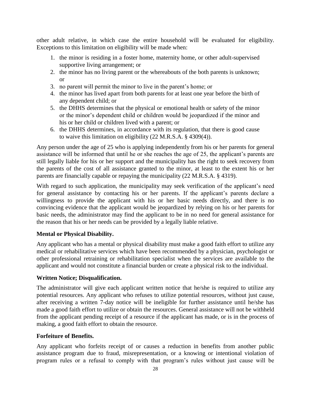other adult relative, in which case the entire household will be evaluated for eligibility. Exceptions to this limitation on eligibility will be made when:

- 1. the minor is residing in a foster home, maternity home, or other adult-supervised supportive living arrangement; or
- 2. the minor has no living parent or the whereabouts of the both parents is unknown; or
- 3. no parent will permit the minor to live in the parent's home; or
- 4. the minor has lived apart from both parents for at least one year before the birth of any dependent child; or
- 5. the DHHS determines that the physical or emotional health or safety of the minor or the minor's dependent child or children would be jeopardized if the minor and his or her child or children lived with a parent; or
- 6. the DHHS determines, in accordance with its regulation, that there is good cause to waive this limitation on eligibility (22 M.R.S.A. § 4309(4)).

Any person under the age of 25 who is applying independently from his or her parents for general assistance will be informed that until he or she reaches the age of 25, the applicant's parents are still legally liable for his or her support and the municipality has the right to seek recovery from the parents of the cost of all assistance granted to the minor, at least to the extent his or her parents are financially capable or repaying the municipality (22 M.R.S.A. § 4319).

With regard to such application, the municipality may seek verification of the applicant's need for general assistance by contacting his or her parents. If the applicant's parents declare a willingness to provide the applicant with his or her basic needs directly, and there is no convincing evidence that the applicant would be jeopardized by relying on his or her parents for basic needs, the administrator may find the applicant to be in no need for general assistance for the reason that his or her needs can be provided by a legally liable relative.

# <span id="page-35-0"></span>**Mental or Physical Disability.**

Any applicant who has a mental or physical disability must make a good faith effort to utilize any medical or rehabilitative services which have been recommended by a physician, psychologist or other professional retraining or rehabilitation specialist when the services are available to the applicant and would not constitute a financial burden or create a physical risk to the individual.

#### <span id="page-35-1"></span>**Written Notice; Disqualification.**

The administrator will give each applicant written notice that he/she is required to utilize any potential resources. Any applicant who refuses to utilize potential resources, without just cause, after receiving a written 7-day notice will be ineligible for further assistance until he/she has made a good faith effort to utilize or obtain the resources. General assistance will not be withheld from the applicant pending receipt of a resource if the applicant has made, or is in the process of making, a good faith effort to obtain the resource.

#### <span id="page-35-2"></span>**Forfeiture of Benefits.**

Any applicant who forfeits receipt of or causes a reduction in benefits from another public assistance program due to fraud, misrepresentation, or a knowing or intentional violation of program rules or a refusal to comply with that program's rules without just cause will be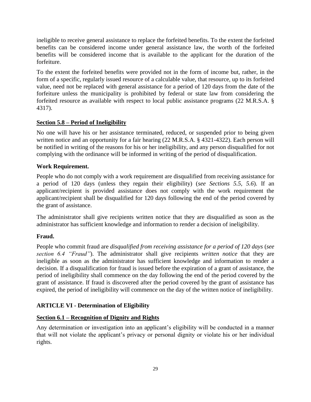ineligible to receive general assistance to replace the forfeited benefits. To the extent the forfeited benefits can be considered income under general assistance law, the worth of the forfeited benefits will be considered income that is available to the applicant for the duration of the forfeiture.

To the extent the forfeited benefits were provided not in the form of income but, rather, in the form of a specific, regularly issued resource of a calculable value, that resource, up to its forfeited value, need not be replaced with general assistance for a period of 120 days from the date of the forfeiture unless the municipality is prohibited by federal or state law from considering the forfeited resource as available with respect to local public assistance programs (22 M.R.S.A. § 4317).

## **Section 5.8 – Period of Ineligibility**

No one will have his or her assistance terminated, reduced, or suspended prior to being given written notice and an opportunity for a fair hearing (22 M.R.S.A. § 4321-4322). Each person will be notified in writing of the reasons for his or her ineligibility, and any person disqualified for not complying with the ordinance will be informed in writing of the period of disqualification.

## **Work Requirement.**

People who do not comply with a work requirement are disqualified from receiving assistance for a period of 120 days (unless they regain their eligibility) (*see Sections 5.5, 5.6*). If an applicant/recipient is provided assistance does not comply with the work requirement the applicant/recipient shall be disqualified for 120 days following the end of the period covered by the grant of assistance.

The administrator shall give recipients written notice that they are disqualified as soon as the administrator has sufficient knowledge and information to render a decision of ineligibility.

## **Fraud.**

People who commit fraud are *disqualified from receiving assistance for a period of 120 days* (*see section 6.4 "Fraud"*). The administrator shall give recipients *written notice* that they are ineligible as soon as the administrator has sufficient knowledge and information to render a decision. If a disqualification for fraud is issued before the expiration of a grant of assistance, the period of ineligibility shall commence on the day following the end of the period covered by the grant of assistance. If fraud is discovered after the period covered by the grant of assistance has expired, the period of ineligibility will commence on the day of the written notice of ineligibility.

## **ARTICLE VI - Determination of Eligibility**

## **Section 6.1 – Recognition of Dignity and Rights**

Any determination or investigation into an applicant's eligibility will be conducted in a manner that will not violate the applicant's privacy or personal dignity or violate his or her individual rights.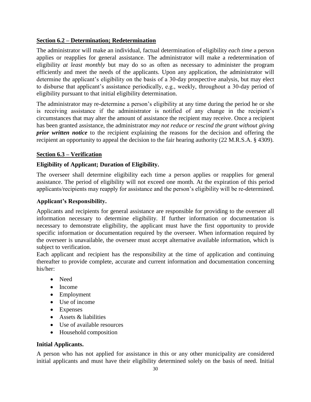## **Section 6.2 – Determination; Redetermination**

The administrator will make an individual, factual determination of eligibility *each time* a person applies or reapplies for general assistance. The administrator will make a redetermination of eligibility *at least monthly* but may do so as often as necessary to administer the program efficiently and meet the needs of the applicants. Upon any application, the administrator will determine the applicant's eligibility on the basis of a 30-day prospective analysis, but may elect to disburse that applicant's assistance periodically, e.g., weekly, throughout a 30-day period of eligibility pursuant to that initial eligibility determination.

The administrator may re-determine a person's eligibility at any time during the period he or she is receiving assistance if the administrator is notified of any change in the recipient's circumstances that may alter the amount of assistance the recipient may receive. Once a recipient has been granted assistance, the administrator *may not reduce or rescind the grant without giving prior written notice* to the recipient explaining the reasons for the decision and offering the recipient an opportunity to appeal the decision to the fair hearing authority (22 M.R.S.A. § 4309).

## **Section 6.3 – Verification**

## **Eligibility of Applicant; Duration of Eligibility.**

The overseer shall determine eligibility each time a person applies or reapplies for general assistance. The period of eligibility will not exceed one month. At the expiration of this period applicants/recipients may reapply for assistance and the person's eligibility will be re-determined.

## **Applicant's Responsibility.**

Applicants and recipients for general assistance are responsible for providing to the overseer all information necessary to determine eligibility. If further information or documentation is necessary to demonstrate eligibility, the applicant must have the first opportunity to provide specific information or documentation required by the overseer. When information required by the overseer is unavailable, the overseer must accept alternative available information, which is subject to verification.

Each applicant and recipient has the responsibility at the time of application and continuing thereafter to provide complete, accurate and current information and documentation concerning his/her:

- Need
- Income
- Employment
- Use of income
- Expenses
- Assets & liabilities
- Use of available resources
- Household composition

## **Initial Applicants.**

A person who has not applied for assistance in this or any other municipality are considered initial applicants and must have their eligibility determined solely on the basis of need. Initial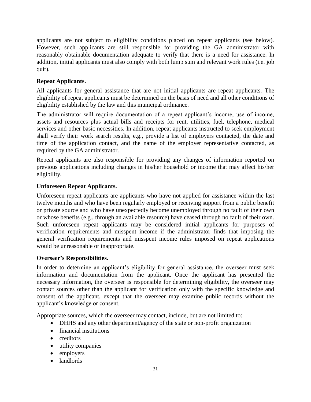applicants are not subject to eligibility conditions placed on repeat applicants (see below). However, such applicants are still responsible for providing the GA administrator with reasonably obtainable documentation adequate to verify that there is a need for assistance. In addition, initial applicants must also comply with both lump sum and relevant work rules (i.e. job quit).

## **Repeat Applicants.**

All applicants for general assistance that are not initial applicants are repeat applicants. The eligibility of repeat applicants must be determined on the basis of need and all other conditions of eligibility established by the law and this municipal ordinance.

The administrator will require documentation of a repeat applicant's income, use of income, assets and resources plus actual bills and receipts for rent, utilities, fuel, telephone, medical services and other basic necessities. In addition, repeat applicants instructed to seek employment shall verify their work search results, e.g., provide a list of employers contacted, the date and time of the application contact, and the name of the employer representative contacted, as required by the GA administrator.

Repeat applicants are also responsible for providing any changes of information reported on previous applications including changes in his/her household or income that may affect his/her eligibility.

## **Unforeseen Repeat Applicants.**

Unforeseen repeat applicants are applicants who have not applied for assistance within the last twelve months and who have been regularly employed or receiving support from a public benefit or private source and who have unexpectedly become unemployed through no fault of their own or whose benefits (e.g., through an available resource) have ceased through no fault of their own. Such unforeseen repeat applicants may be considered initial applicants for purposes of verification requirements and misspent income if the administrator finds that imposing the general verification requirements and misspent income rules imposed on repeat applications would be unreasonable or inappropriate.

## **Overseer's Responsibilities.**

In order to determine an applicant's eligibility for general assistance, the overseer must seek information and documentation from the applicant. Once the applicant has presented the necessary information, the overseer is responsible for determining eligibility, the overseer may contact sources other than the applicant for verification only with the specific knowledge and consent of the applicant, except that the overseer may examine public records without the applicant's knowledge or consent.

Appropriate sources, which the overseer may contact, include, but are not limited to:

- DHHS and any other department/agency of the state or non-profit organization
- financial institutions
- creditors
- utility companies
- employers
- landlords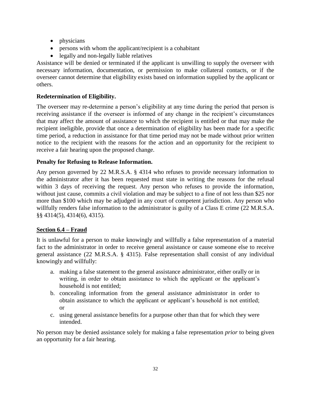- physicians
- persons with whom the applicant/recipient is a cohabitant
- legally and non-legally liable relatives

Assistance will be denied or terminated if the applicant is unwilling to supply the overseer with necessary information, documentation, or permission to make collateral contacts, or if the overseer cannot determine that eligibility exists based on information supplied by the applicant or others.

## **Redetermination of Eligibility.**

The overseer may re-determine a person's eligibility at any time during the period that person is receiving assistance if the overseer is informed of any change in the recipient's circumstances that may affect the amount of assistance to which the recipient is entitled or that may make the recipient ineligible, provide that once a determination of eligibility has been made for a specific time period, a reduction in assistance for that time period may not be made without prior written notice to the recipient with the reasons for the action and an opportunity for the recipient to receive a fair hearing upon the proposed change.

## **Penalty for Refusing to Release Information.**

Any person governed by 22 M.R.S.A. § 4314 who refuses to provide necessary information to the administrator after it has been requested must state in writing the reasons for the refusal within 3 days of receiving the request. Any person who refuses to provide the information, without just cause, commits a civil violation and may be subject to a fine of not less than \$25 nor more than \$100 which may be adjudged in any court of competent jurisdiction. Any person who willfully renders false information to the administrator is guilty of a Class E crime (22 M.R.S.A. §§ 4314(5), 4314(6), 4315).

## **Section 6.4 – Fraud**

It is unlawful for a person to make knowingly and willfully a false representation of a material fact to the administrator in order to receive general assistance or cause someone else to receive general assistance (22 M.R.S.A. § 4315). False representation shall consist of any individual knowingly and willfully:

- a. making a false statement to the general assistance administrator, either orally or in writing, in order to obtain assistance to which the applicant or the applicant's household is not entitled;
- b. concealing information from the general assistance administrator in order to obtain assistance to which the applicant or applicant's household is not entitled; or
- c. using general assistance benefits for a purpose other than that for which they were intended.

No person may be denied assistance solely for making a false representation *prior* to being given an opportunity for a fair hearing.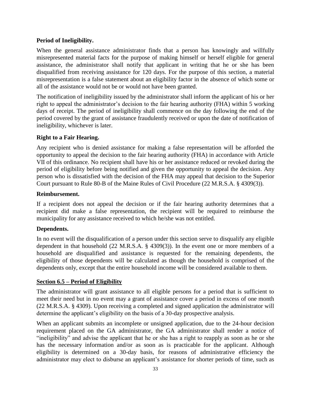## **Period of Ineligibility.**

When the general assistance administrator finds that a person has knowingly and willfully misrepresented material facts for the purpose of making himself or herself eligible for general assistance, the administrator shall notify that applicant in writing that he or she has been disqualified from receiving assistance for 120 days. For the purpose of this section, a material misrepresentation is a false statement about an eligibility factor in the absence of which some or all of the assistance would not be or would not have been granted.

The notification of ineligibility issued by the administrator shall inform the applicant of his or her right to appeal the administrator's decision to the fair hearing authority (FHA) within 5 working days of receipt. The period of ineligibility shall commence on the day following the end of the period covered by the grant of assistance fraudulently received or upon the date of notification of ineligibility, whichever is later.

## **Right to a Fair Hearing.**

Any recipient who is denied assistance for making a false representation will be afforded the opportunity to appeal the decision to the fair hearing authority (FHA) in accordance with Article VII of this ordinance. No recipient shall have his or her assistance reduced or revoked during the period of eligibility before being notified and given the opportunity to appeal the decision. Any person who is dissatisfied with the decision of the FHA may appeal that decision to the Superior Court pursuant to Rule 80-B of the Maine Rules of Civil Procedure (22 M.R.S.A. § 4309(3)).

## **Reimbursement.**

If a recipient does not appeal the decision or if the fair hearing authority determines that a recipient did make a false representation, the recipient will be required to reimburse the municipality for any assistance received to which he/she was not entitled.

## **Dependents.**

In no event will the disqualification of a person under this section serve to disqualify any eligible dependent in that household (22 M.R.S.A. § 4309(3)). In the event one or more members of a household are disqualified and assistance is requested for the remaining dependents, the eligibility of those dependents will be calculated as though the household is comprised of the dependents only, except that the entire household income will be considered available to them.

## **Section 6.5 – Period of Eligibility**

The administrator will grant assistance to all eligible persons for a period that is sufficient to meet their need but in no event may a grant of assistance cover a period in excess of one month (22 M.R.S.A. § 4309). Upon receiving a completed and signed application the administrator will determine the applicant's eligibility on the basis of a 30-day prospective analysis.

When an applicant submits an incomplete or unsigned application, due to the 24-hour decision requirement placed on the GA administrator, the GA administrator shall render a notice of "ineligibility" and advise the applicant that he or she has a right to reapply as soon as he or she has the necessary information and/or as soon as is practicable for the applicant. Although eligibility is determined on a 30-day basis, for reasons of administrative efficiency the administrator may elect to disburse an applicant's assistance for shorter periods of time, such as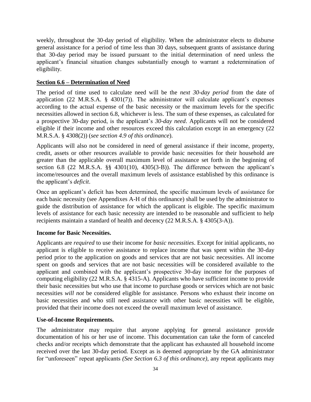weekly, throughout the 30-day period of eligibility. When the administrator elects to disburse general assistance for a period of time less than 30 days, subsequent grants of assistance during that 30-day period may be issued pursuant to the initial determination of need unless the applicant's financial situation changes substantially enough to warrant a redetermination of eligibility.

## **Section 6.6 – Determination of Need**

The period of time used to calculate need will be the *next 30-day period* from the date of application (22 M.R.S.A.  $\S$  4301(7)). The administrator will calculate applicant's expenses according to the actual expense of the basic necessity or the maximum levels for the specific necessities allowed in section 6.8, whichever is less. The sum of these expenses, as calculated for a prospective 30-day period, is the applicant's *30-day need*. Applicants will not be considered eligible if their income and other resources exceed this calculation except in an emergency (22 M.R.S.A. § 4308(2)) (*see section 4.9 of this ordinance*).

Applicants will also not be considered in need of general assistance if their income, property, credit, assets or other resources available to provide basic necessities for their household are greater than the applicable overall maximum level of assistance set forth in the beginning of section 6.8 (22 M.R.S.A. §§ 4301(10), 4305(3-B)). The difference between the applicant's income/resources and the overall maximum levels of assistance established by this ordinance is the applicant's *deficit*.

Once an applicant's deficit has been determined, the specific maximum levels of assistance for each basic necessity (see Appendixes A-H of this ordinance) shall be used by the administrator to guide the distribution of assistance for which the applicant is eligible. The specific maximum levels of assistance for each basic necessity are intended to be reasonable and sufficient to help recipients maintain a standard of health and decency (22 M.R.S.A. § 4305(3-A)).

## **Income for Basic Necessities.**

Applicants are *required* to use their income for *basic necessities*. Except for initial applicants, no applicant is eligible to receive assistance to replace income that was spent within the 30-day period prior to the application on goods and services that are not basic necessities. All income spent on goods and services that are not basic necessities will be considered available to the applicant and combined with the applicant's prospective 30-day income for the purposes of computing eligibility (22 M.R.S.A. § 4315-A). Applicants who have sufficient income to provide their basic necessities but who use that income to purchase goods or services which are not basic necessities *will not* be considered eligible for assistance. Persons who exhaust their income on basic necessities and who still need assistance with other basic necessities will be eligible, provided that their income does not exceed the overall maximum level of assistance.

## **Use-of-Income Requirements.**

The administrator may require that anyone applying for general assistance provide documentation of his or her use of income. This documentation can take the form of canceled checks and/or receipts which demonstrate that the applicant has exhausted all household income received over the last 30-day period. Except as is deemed appropriate by the GA administrator for "unforeseen" repeat applicants *(See Section 6.3 of this ordinance)*, any repeat applicants may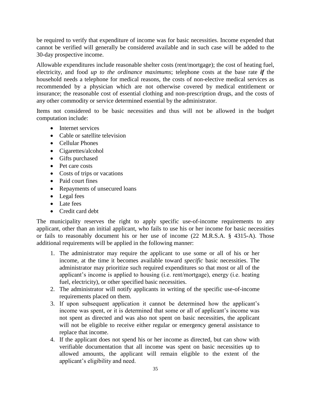be required to verify that expenditure of income was for basic necessities. Income expended that cannot be verified will generally be considered available and in such case will be added to the 30-day prospective income.

Allowable expenditures include reasonable shelter costs (rent/mortgage); the cost of heating fuel, electricity, and food *up to the ordinance maximums*; telephone costs at the base rate *if* the household needs a telephone for medical reasons, the costs of non-elective medical services as recommended by a physician which are not otherwise covered by medical entitlement or insurance; the reasonable cost of essential clothing and non-prescription drugs, and the costs of any other commodity or service determined essential by the administrator.

Items not considered to be basic necessities and thus will not be allowed in the budget computation include:

- Internet services
- Cable or satellite television
- Cellular Phones
- Cigarettes/alcohol
- Gifts purchased
- Pet care costs
- Costs of trips or vacations
- Paid court fines
- Repayments of unsecured loans
- Legal fees
- Late fees
- Credit card debt

The municipality reserves the right to apply specific use-of-income requirements to any applicant, other than an initial applicant, who fails to use his or her income for basic necessities or fails to reasonably document his or her use of income (22 M.R.S.A. § 4315-A). Those additional requirements will be applied in the following manner:

- 1. The administrator may require the applicant to use some or all of his or her income, at the time it becomes available toward *specific* basic necessities. The administrator may prioritize such required expenditures so that most or all of the applicant's income is applied to housing (i.e. rent/mortgage), energy (i.e. heating fuel, electricity), or other specified basic necessities.
- 2. The administrator will notify applicants in writing of the specific use-of-income requirements placed on them.
- 3. If upon subsequent application it cannot be determined how the applicant's income was spent, or it is determined that some or all of applicant's income was not spent as directed and was also not spent on basic necessities, the applicant will not be eligible to receive either regular or emergency general assistance to replace that income.
- 4. If the applicant does not spend his or her income as directed, but can show with verifiable documentation that all income was spent on basic necessities up to allowed amounts, the applicant will remain eligible to the extent of the applicant's eligibility and need.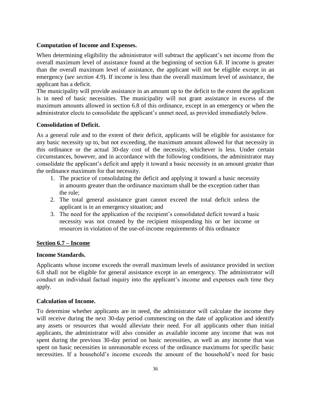## **Computation of Income and Expenses.**

When determining eligibility the administrator will subtract the applicant's net income from the overall maximum level of assistance found at the beginning of section 6.8. If income is greater than the overall maximum level of assistance, the applicant will not be eligible except in an emergency (*see section 4.9*). If income is less than the overall maximum level of assistance, the applicant has a deficit.

The municipality will provide assistance in an amount up to the deficit to the extent the applicant is in need of basic necessities. The municipality will not grant assistance in excess of the maximum amounts allowed in section 6.8 of this ordinance, except in an emergency or when the administrator elects to consolidate the applicant's unmet need, as provided immediately below.

## **Consolidation of Deficit.**

As a general rule and to the extent of their deficit, applicants will be eligible for assistance for any basic necessity up to, but not exceeding, the maximum amount allowed for that necessity in this ordinance or the actual 30-day cost of the necessity, whichever is less. Under certain circumstances, however, and in accordance with the following conditions, the administrator may consolidate the applicant's deficit and apply it toward a basic necessity in an amount greater than the ordinance maximum for that necessity.

- 1. The practice of consolidating the deficit and applying it toward a basic necessity in amounts greater than the ordinance maximum shall be the exception rather than the rule;
- 2. The total general assistance grant cannot exceed the total deficit unless the applicant is in an emergency situation; and
- 3. The need for the application of the recipient's consolidated deficit toward a basic necessity was not created by the recipient misspending his or her income or resources in violation of the use-of-income requirements of this ordinance

## **Section 6.7 – Income**

#### **Income Standards.**

Applicants whose income exceeds the overall maximum levels of assistance provided in section 6.8 shall not be eligible for general assistance except in an emergency. The administrator will conduct an individual factual inquiry into the applicant's income and expenses each time they apply.

#### **Calculation of Income.**

To determine whether applicants are in need, the administrator will calculate the income they will receive during the next 30-day period commencing on the date of application and identify any assets or resources that would alleviate their need. For all applicants other than initial applicants, the administrator will also consider as available income any income that was not spent during the previous 30-day period on basic necessities, as well as any income that was spent on basic necessities in unreasonable excess of the ordinance maximums for specific basic necessities. If a household's income exceeds the amount of the household's need for basic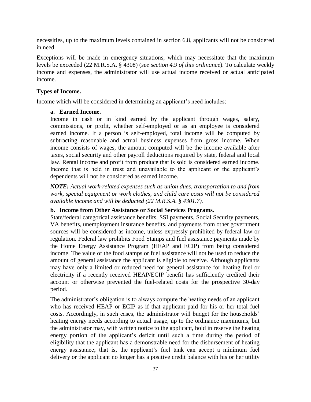necessities, up to the maximum levels contained in section 6.8, applicants will not be considered in need.

Exceptions will be made in emergency situations, which may necessitate that the maximum levels be exceeded (22 M.R.S.A. § 4308) (*see section 4.9 of this ordinance*). To calculate weekly income and expenses, the administrator will use actual income received or actual anticipated income.

## **Types of Income.**

Income which will be considered in determining an applicant's need includes:

## **a. Earned Income.**

Income in cash or in kind earned by the applicant through wages, salary, commissions, or profit, whether self-employed or as an employee is considered earned income. If a person is self-employed, total income will be computed by subtracting reasonable and actual business expenses from gross income. When income consists of wages, the amount computed will be the income available after taxes, social security and other payroll deductions required by state, federal and local law. Rental income and profit from produce that is sold is considered earned income. Income that is held in trust and unavailable to the applicant or the applicant's dependents will not be considered as earned income.

*NOTE: Actual work-related expenses such as union dues, transportation to and from work, special equipment or work clothes, and child care costs will not be considered available income and will be deducted (22 M.R.S.A. § 4301.7).*

## **b. Income from Other Assistance or Social Services Programs.**

State/federal categorical assistance benefits, SSI payments, Social Security payments, VA benefits, unemployment insurance benefits, and payments from other government sources will be considered as income, unless expressly prohibited by federal law or regulation. Federal law prohibits Food Stamps and fuel assistance payments made by the Home Energy Assistance Program (HEAP and ECIP) from being considered income. The value of the food stamps or fuel assistance will not be used to reduce the amount of general assistance the applicant is eligible to receive. Although applicants may have only a limited or reduced need for general assistance for heating fuel or electricity if a recently received HEAP/ECIP benefit has sufficiently credited their account or otherwise prevented the fuel-related costs for the prospective 30-day period.

The administrator's obligation is to always compute the heating needs of an applicant who has received HEAP or ECIP as if that applicant paid for his or her total fuel costs. Accordingly, in such cases, the administrator will budget for the households' heating energy needs according to actual usage, up to the ordinance maximums, but the administrator may, with written notice to the applicant, hold in reserve the heating energy portion of the applicant's deficit until such a time during the period of eligibility that the applicant has a demonstrable need for the disbursement of heating energy assistance; that is, the applicant's fuel tank can accept a minimum fuel delivery or the applicant no longer has a positive credit balance with his or her utility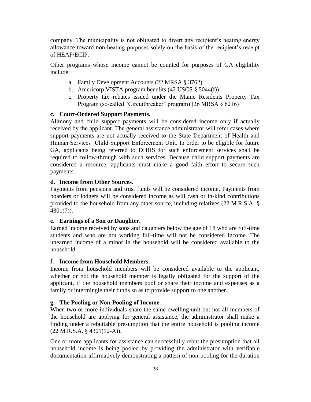company. The municipality is not obligated to divert any recipient's heating energy allowance toward non-heating purposes solely on the basis of the recipient's receipt of HEAP/ECIP.

Other programs whose income cannot be counted for purposes of GA eligibility include:

- a. Family Development Accounts (22 MRSA § 3762)
- b. Americorp VISTA program benefits (42 USCS § 5044(f))
- c. Property tax rebates issued under the Maine Residents Property Tax Program (so-called "Circuitbreaker" program) (36 MRSA § 6216)

#### **c. Court-Ordered Support Payments.**

Alimony and child support payments will be considered income only if actually received by the applicant. The general assistance administrator will refer cases where support payments are not actually received to the State Department of Health and Human Services' Child Support Enforcement Unit. In order to be eligible for future GA, applicants being referred to DHHS for such enforcement services shall be required to follow-through with such services. Because child support payments are considered a resource, applicants must make a good faith effort to secure such payments.

#### **d. Income from Other Sources.**

Payments from pensions and trust funds will be considered income. Payments from boarders or lodgers will be considered income as will cash or in-kind contributions provided to the household from any other source, including relatives (22 M.R.S.A. § 4301(7)).

#### **e. Earnings of a Son or Daughter.**

Earned income received by sons and daughters below the age of 18 who are full-time students and who are not working full-time will not be considered income. The unearned income of a minor in the household will be considered available to the household.

#### **f. Income from Household Members.**

Income from household members will be considered available to the applicant, whether or not the household member is legally obligated for the support of the applicant, if the household members pool or share their income and expenses as a family or intermingle their funds so as to provide support to one another.

#### **g. The Pooling or Non-Pooling of Income.**

When two or more individuals share the same dwelling unit but not all members of the household are applying for general assistance, the administrator shall make a finding under a rebuttable presumption that the entire household is pooling income (22 M.R.S.A. § 4301(12-A)).

One or more applicants for assistance can successfully rebut the presumption that all household income is being pooled by providing the administrator with verifiable documentation affirmatively demonstrating a pattern of non-pooling for the duration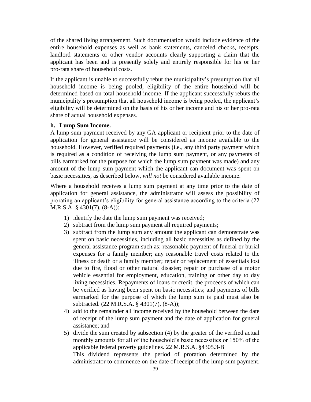of the shared living arrangement. Such documentation would include evidence of the entire household expenses as well as bank statements, canceled checks, receipts, landlord statements or other vendor accounts clearly supporting a claim that the applicant has been and is presently solely and entirely responsible for his or her pro-rata share of household costs.

If the applicant is unable to successfully rebut the municipality's presumption that all household income is being pooled, eligibility of the entire household will be determined based on total household income. If the applicant successfully rebuts the municipality's presumption that all household income is being pooled, the applicant's eligibility will be determined on the basis of his or her income and his or her pro-rata share of actual household expenses.

#### **h. Lump Sum Income.**

A lump sum payment received by any GA applicant or recipient prior to the date of application for general assistance will be considered as income available to the household. However, verified required payments (i.e., any third party payment which is required as a condition of receiving the lump sum payment, or any payments of bills earmarked for the purpose for which the lump sum payment was made) and any amount of the lump sum payment which the applicant can document was spent on basic necessities, as described below, *will not* be considered available income.

Where a household receives a lump sum payment at any time prior to the date of application for general assistance, the administrator will assess the possibility of prorating an applicant's eligibility for general assistance according to the criteria (22 M.R.S.A. § 4301(7), (8-A)):

- 1) identify the date the lump sum payment was received;
- 2) subtract from the lump sum payment all required payments;
- 3) subtract from the lump sum any amount the applicant can demonstrate was spent on basic necessities, including all basic necessities as defined by the general assistance program such as: reasonable payment of funeral or burial expenses for a family member; any reasonable travel costs related to the illness or death or a family member; repair or replacement of essentials lost due to fire, flood or other natural disaster; repair or purchase of a motor vehicle essential for employment, education, training or other day to day living necessities. Repayments of loans or credit, the proceeds of which can be verified as having been spent on basic necessities; and payments of bills earmarked for the purpose of which the lump sum is paid must also be subtracted. (22 M.R.S.A. § 4301(7), (8-A));
- 4) add to the remainder all income received by the household between the date of receipt of the lump sum payment and the date of application for general assistance; and
- 5) divide the sum created by subsection (4) by the greater of the verified actual monthly amounts for all of the household's basic necessities or 150% of the applicable federal poverty guidelines. 22 M.R.S.A. §4305.3-B

This dividend represents the period of proration determined by the administrator to commence on the date of receipt of the lump sum payment.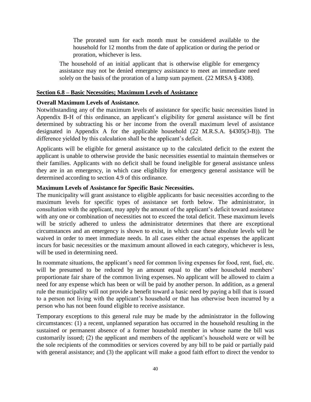The prorated sum for each month must be considered available to the household for 12 months from the date of application or during the period or proration, whichever is less.

The household of an initial applicant that is otherwise eligible for emergency assistance may not be denied emergency assistance to meet an immediate need solely on the basis of the proration of a lump sum payment. (22 MRSA § 4308).

#### **Section 6.8 – Basic Necessities; Maximum Levels of Assistance**

#### **Overall Maximum Levels of Assistance.**

Notwithstanding any of the maximum levels of assistance for specific basic necessities listed in Appendix B-H of this ordinance, an applicant's eligibility for general assistance will be first determined by subtracting his or her income from the overall maximum level of assistance designated in Appendix A for the applicable household (22 M.R.S.A. §4305(3-B)). The difference yielded by this calculation shall be the applicant's deficit.

Applicants will be eligible for general assistance up to the calculated deficit to the extent the applicant is unable to otherwise provide the basic necessities essential to maintain themselves or their families. Applicants with no deficit shall be found ineligible for general assistance unless they are in an emergency, in which case eligibility for emergency general assistance will be determined according to section 4.9 of this ordinance.

#### **Maximum Levels of Assistance for Specific Basic Necessities.**

The municipality will grant assistance to eligible applicants for basic necessities according to the maximum levels for specific types of assistance set forth below. The administrator, in consultation with the applicant, may apply the amount of the applicant's deficit toward assistance with any one or combination of necessities not to exceed the total deficit. These maximum levels will be strictly adhered to unless the administrator determines that there are exceptional circumstances and an emergency is shown to exist, in which case these absolute levels will be waived in order to meet immediate needs. In all cases either the actual expenses the applicant incurs for basic necessities or the maximum amount allowed in each category, whichever is less, will be used in determining need.

In roommate situations, the applicant's need for common living expenses for food, rent, fuel, etc. will be presumed to be reduced by an amount equal to the other household members' proportionate fair share of the common living expenses. No applicant will be allowed to claim a need for any expense which has been or will be paid by another person. In addition, as a general rule the municipality will not provide a benefit toward a basic need by paying a bill that is issued to a person not living with the applicant's household or that has otherwise been incurred by a person who has not been found eligible to receive assistance.

Temporary exceptions to this general rule may be made by the administrator in the following circumstances: (1) a recent, unplanned separation has occurred in the household resulting in the sustained or permanent absence of a former household member in whose name the bill was customarily issued; (2) the applicant and members of the applicant's household were or will be the sole recipients of the commodities or services covered by any bill to be paid or partially paid with general assistance; and (3) the applicant will make a good faith effort to direct the vendor to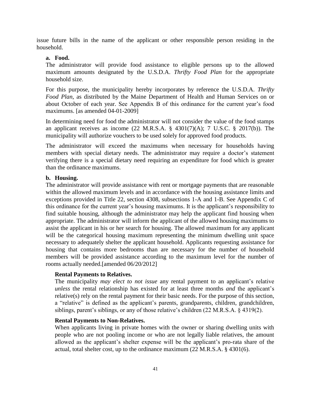issue future bills in the name of the applicant or other responsible person residing in the household.

#### **a. Food.**

The administrator will provide food assistance to eligible persons up to the allowed maximum amounts designated by the U.S.D.A. *Thrifty Food Plan* for the appropriate household size.

For this purpose, the municipality hereby incorporates by reference the U.S.D.A. *Thrifty Food Plan*, as distributed by the Maine Department of Health and Human Services on or about October of each year. See Appendix B of this ordinance for the current year's food maximums. [as amended 04-01-2009]

In determining need for food the administrator will not consider the value of the food stamps an applicant receives as income  $(22 \text{ M.R.S.A. } § 4301(7)(\text{A}); 7 \text{ U.S.C. } § 2017(\text{b})).$  The municipality will authorize vouchers to be used solely for approved food products.

The administrator will exceed the maximums when necessary for households having members with special dietary needs. The administrator may require a doctor's statement verifying there is a special dietary need requiring an expenditure for food which is greater than the ordinance maximums.

#### **b. Housing.**

The administrator will provide assistance with rent or mortgage payments that are reasonable within the allowed maximum levels and in accordance with the housing assistance limits and exceptions provided in Title 22, section 4308, subsections 1-A and 1-B. See Appendix C of this ordinance for the current year's housing maximums. It is the applicant's responsibility to find suitable housing, although the administrator may help the applicant find housing when appropriate. The administrator will inform the applicant of the allowed housing maximums to assist the applicant in his or her search for housing. The allowed maximum for any applicant will be the categorical housing maximum representing the minimum dwelling unit space necessary to adequately shelter the applicant household. Applicants requesting assistance for housing that contains more bedrooms than are necessary for the number of household members will be provided assistance according to the maximum level for the number of rooms actually needed.[amended 06/20/2012]

#### **Rental Payments to Relatives.**

The municipality *may elect to not issue* any rental payment to an applicant's relative *unless* the rental relationship has existed for at least three months *and* the applicant's relative(s) rely on the rental payment for their basic needs. For the purpose of this section, a "relative" is defined as the applicant's parents, grandparents, children, grandchildren, siblings, parent's siblings, or any of those relative's children (22 M.R.S.A. § 4319(2).

#### **Rental Payments to Non-Relatives.**

When applicants living in private homes with the owner or sharing dwelling units with people who are not pooling income or who are not legally liable relatives, the amount allowed as the applicant's shelter expense will be the applicant's pro-rata share of the actual, total shelter cost, up to the ordinance maximum (22 M.R.S.A. § 4301(6).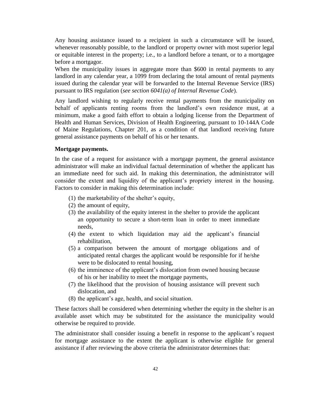Any housing assistance issued to a recipient in such a circumstance will be issued, whenever reasonably possible, to the landlord or property owner with most superior legal or equitable interest in the property; i.e., to a landlord before a tenant, or to a mortgagee before a mortgagor.

When the municipality issues in aggregate more than \$600 in rental payments to any landlord in any calendar year, a 1099 from declaring the total amount of rental payments issued during the calendar year will be forwarded to the Internal Revenue Service (IRS) pursuant to IRS regulation (*see section 6041(a) of Internal Revenue Code*).

Any landlord wishing to regularly receive rental payments from the municipality on behalf of applicants renting rooms from the landlord's own residence must, at a minimum, make a good faith effort to obtain a lodging license from the Department of Health and Human Services, Division of Health Engineering, pursuant to 10-144A Code of Maine Regulations, Chapter 201, as a condition of that landlord receiving future general assistance payments on behalf of his or her tenants.

#### **Mortgage payments.**

In the case of a request for assistance with a mortgage payment, the general assistance administrator will make an individual factual determination of whether the applicant has an immediate need for such aid. In making this determination, the administrator will consider the extent and liquidity of the applicant's propriety interest in the housing. Factors to consider in making this determination include:

- (1) the marketability of the shelter's equity,
- (2) the amount of equity,
- (3) the availability of the equity interest in the shelter to provide the applicant an opportunity to secure a short-term loan in order to meet immediate needs,
- (4) the extent to which liquidation may aid the applicant's financial rehabilitation,
- (5) a comparison between the amount of mortgage obligations and of anticipated rental charges the applicant would be responsible for if he/she were to be dislocated to rental housing,
- (6) the imminence of the applicant's dislocation from owned housing because of his or her inability to meet the mortgage payments,
- (7) the likelihood that the provision of housing assistance will prevent such dislocation, and
- (8) the applicant's age, health, and social situation.

These factors shall be considered when determining whether the equity in the shelter is an available asset which may be substituted for the assistance the municipality would otherwise be required to provide.

The administrator shall consider issuing a benefit in response to the applicant's request for mortgage assistance to the extent the applicant is otherwise eligible for general assistance if after reviewing the above criteria the administrator determines that: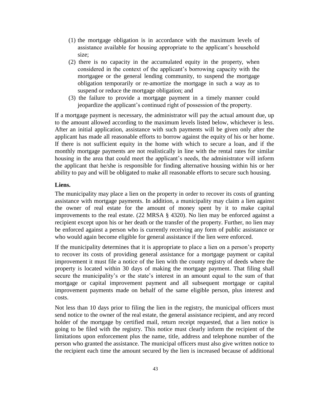- (1) the mortgage obligation is in accordance with the maximum levels of assistance available for housing appropriate to the applicant's household size;
- (2) there is no capacity in the accumulated equity in the property, when considered in the context of the applicant's borrowing capacity with the mortgagee or the general lending community, to suspend the mortgage obligation temporarily or re-amortize the mortgage in such a way as to suspend or reduce the mortgage obligation; and
- (3) the failure to provide a mortgage payment in a timely manner could jeopardize the applicant's continued right of possession of the property.

If a mortgage payment is necessary, the administrator will pay the actual amount due, up to the amount allowed according to the maximum levels listed below, whichever is less. After an initial application, assistance with such payments will be given only after the applicant has made all reasonable efforts to borrow against the equity of his or her home. If there is not sufficient equity in the home with which to secure a loan, and if the monthly mortgage payments are not realistically in line with the rental rates for similar housing in the area that could meet the applicant's needs, the administrator will inform the applicant that he/she is responsible for finding alternative housing within his or her ability to pay and will be obligated to make all reasonable efforts to secure such housing.

#### **Liens.**

The municipality may place a lien on the property in order to recover its costs of granting assistance with mortgage payments. In addition, a municipality may claim a lien against the owner of real estate for the amount of money spent by it to make capital improvements to the real estate. (22 MRSA § 4320). No lien may be enforced against a recipient except upon his or her death or the transfer of the property. Further, no lien may be enforced against a person who is currently receiving any form of public assistance or who would again become eligible for general assistance if the lien were enforced.

If the municipality determines that it is appropriate to place a lien on a person's property to recover its costs of providing general assistance for a mortgage payment or capital improvement it must file a notice of the lien with the county registry of deeds where the property is located within 30 days of making the mortgage payment. That filing shall secure the municipality's or the state's interest in an amount equal to the sum of that mortgage or capital improvement payment and all subsequent mortgage or capital improvement payments made on behalf of the same eligible person, plus interest and costs.

Not less than 10 days prior to filing the lien in the registry, the municipal officers must send notice to the owner of the real estate, the general assistance recipient, and any record holder of the mortgage by certified mail, return receipt requested, that a lien notice is going to be filed with the registry. This notice must clearly inform the recipient of the limitations upon enforcement plus the name, title, address and telephone number of the person who granted the assistance. The municipal officers must also give written notice to the recipient each time the amount secured by the lien is increased because of additional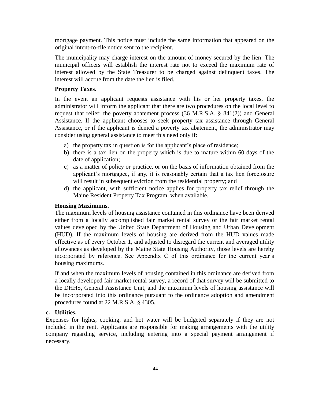mortgage payment. This notice must include the same information that appeared on the original intent-to-file notice sent to the recipient.

The municipality may charge interest on the amount of money secured by the lien. The municipal officers will establish the interest rate not to exceed the maximum rate of interest allowed by the State Treasurer to be charged against delinquent taxes. The interest will accrue from the date the lien is filed.

## **Property Taxes.**

In the event an applicant requests assistance with his or her property taxes, the administrator will inform the applicant that there are two procedures on the local level to request that relief: the poverty abatement process (36 M.R.S.A. § 841(2)) and General Assistance. If the applicant chooses to seek property tax assistance through General Assistance, or if the applicant is denied a poverty tax abatement, the administrator may consider using general assistance to meet this need only if:

- a) the property tax in question is for the applicant's place of residence;
- b) there is a tax lien on the property which is due to mature within 60 days of the date of application;
- c) as a matter of policy or practice, or on the basis of information obtained from the applicant's mortgagee, if any, it is reasonably certain that a tax lien foreclosure will result in subsequent eviction from the residential property; and
- d) the applicant, with sufficient notice applies for property tax relief through the Maine Resident Property Tax Program, when available.

#### **Housing Maximums.**

The maximum levels of housing assistance contained in this ordinance have been derived either from a locally accomplished fair market rental survey or the fair market rental values developed by the United State Department of Housing and Urban Development (HUD). If the maximum levels of housing are derived from the HUD values made effective as of every October 1, and adjusted to disregard the current and averaged utility allowances as developed by the Maine State Housing Authority, those levels are hereby incorporated by reference. See Appendix C of this ordinance for the current year's housing maximums.

If and when the maximum levels of housing contained in this ordinance are derived from a locally developed fair market rental survey, a record of that survey will be submitted to the DHHS, General Assistance Unit, and the maximum levels of housing assistance will be incorporated into this ordinance pursuant to the ordinance adoption and amendment procedures found at 22 M.R.S.A. § 4305.

## **c. Utilities.**

Expenses for lights, cooking, and hot water will be budgeted separately if they are not included in the rent. Applicants are responsible for making arrangements with the utility company regarding service, including entering into a special payment arrangement if necessary.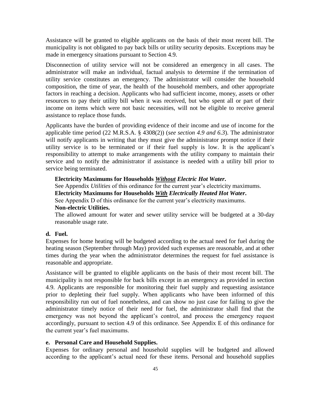Assistance will be granted to eligible applicants on the basis of their most recent bill. The municipality is not obligated to pay back bills or utility security deposits. Exceptions may be made in emergency situations pursuant to Section 4.9.

Disconnection of utility service will not be considered an emergency in all cases. The administrator will make an individual, factual analysis to determine if the termination of utility service constitutes an emergency. The administrator will consider the household composition, the time of year, the health of the household members, and other appropriate factors in reaching a decision. Applicants who had sufficient income, money, assets or other resources to pay their utility bill when it was received, but who spent all or part of their income on items which were not basic necessities, will not be eligible to receive general assistance to replace those funds.

Applicants have the burden of providing evidence of their income and use of income for the applicable time period (22 M.R.S.A. § 4308(2)) (*see section 4.9 and 6.3*). The administrator will notify applicants in writing that they must give the administrator prompt notice if their utility service is to be terminated or if their fuel supply is low. It is the applicant's responsibility to attempt to make arrangements with the utility company to maintain their service and to notify the administrator if assistance is needed with a utility bill prior to service being terminated.

#### **Electricity Maximums for Households** *Without Electric Hot Water***.**

See Appendix *Utilities* of this ordinance for the current year's electricity maximums.

## **Electricity Maximums for Households** *With Electrically Heated Hot Water***.**

See Appendix D of this ordinance for the current year's electricity maximums.

#### **Non-electric Utilities.**

The allowed amount for water and sewer utility service will be budgeted at a 30-day reasonable usage rate.

## **d. Fuel.**

Expenses for home heating will be budgeted according to the actual need for fuel during the heating season (September through May) provided such expenses are reasonable, and at other times during the year when the administrator determines the request for fuel assistance is reasonable and appropriate.

Assistance will be granted to eligible applicants on the basis of their most recent bill. The municipality is not responsible for back bills except in an emergency as provided in section 4.9. Applicants are responsible for monitoring their fuel supply and requesting assistance prior to depleting their fuel supply. When applicants who have been informed of this responsibility run out of fuel nonetheless, and can show no just case for failing to give the administrator timely notice of their need for fuel, the administrator shall find that the emergency was not beyond the applicant's control, and process the emergency request accordingly, pursuant to section 4.9 of this ordinance. See Appendix E of this ordinance for the current year's fuel maximums.

## **e. Personal Care and Household Supplies.**

Expenses for ordinary personal and household supplies will be budgeted and allowed according to the applicant's actual need for these items. Personal and household supplies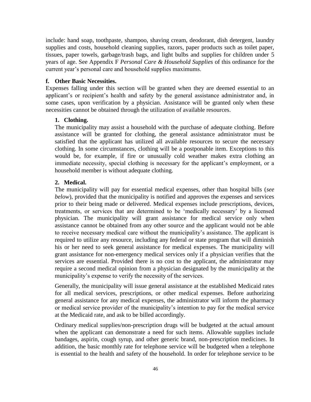include: hand soap, toothpaste, shampoo, shaving cream, deodorant, dish detergent, laundry supplies and costs, household cleaning supplies, razors, paper products such as toilet paper, tissues, paper towels, garbage/trash bags, and light bulbs and supplies for children under 5 years of age. See Appendix F *Personal Care & Household Supplies* of this ordinance for the current year's personal care and household supplies maximums.

#### **f. Other Basic Necessities.**

Expenses falling under this section will be granted when they are deemed essential to an applicant's or recipient's health and safety by the general assistance administrator and, in some cases, upon verification by a physician. Assistance will be granted only when these necessities cannot be obtained through the utilization of available resources.

#### **1. Clothing.**

The municipality may assist a household with the purchase of adequate clothing. Before assistance will be granted for clothing, the general assistance administrator must be satisfied that the applicant has utilized all available resources to secure the necessary clothing. In some circumstances, clothing will be a postponable item. Exceptions to this would be, for example, if fire or unusually cold weather makes extra clothing an immediate necessity, special clothing is necessary for the applicant's employment, or a household member is without adequate clothing.

#### **2. Medical.**

The municipality will pay for essential medical expenses, other than hospital bills (*see below*), provided that the municipality is notified and approves the expenses and services prior to their being made or delivered. Medical expenses include prescriptions, devices, treatments, or services that are determined to be 'medically necessary' by a licensed physician. The municipality will grant assistance for medical service only when assistance cannot be obtained from any other source and the applicant would not be able to receive necessary medical care without the municipality's assistance. The applicant is required to utilize any resource, including any federal or state program that will diminish his or her need to seek general assistance for medical expenses. The municipality will grant assistance for non-emergency medical services only if a physician verifies that the services are essential. Provided there is no cost to the applicant, the administrator may require a second medical opinion from a physician designated by the municipality at the municipality's expense to verify the necessity of the services.

Generally, the municipality will issue general assistance at the established Medicaid rates for all medical services, prescriptions, or other medical expenses. Before authorizing general assistance for any medical expenses, the administrator will inform the pharmacy or medical service provider of the municipality's intention to pay for the medical service at the Medicaid rate, and ask to be billed accordingly.

Ordinary medical supplies/non-prescription drugs will be budgeted at the actual amount when the applicant can demonstrate a need for such items. Allowable supplies include bandages, aspirin, cough syrup, and other generic brand, non-prescription medicines. In addition, the basic monthly rate for telephone service will be budgeted when a telephone is essential to the health and safety of the household. In order for telephone service to be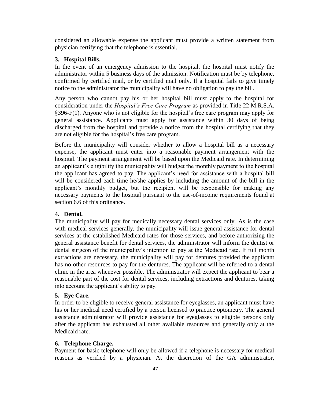considered an allowable expense the applicant must provide a written statement from physician certifying that the telephone is essential.

### **3. Hospital Bills.**

In the event of an emergency admission to the hospital, the hospital must notify the administrator within 5 business days of the admission. Notification must be by telephone, confirmed by certified mail, or by certified mail only. If a hospital fails to give timely notice to the administrator the municipality will have no obligation to pay the bill.

Any person who cannot pay his or her hospital bill must apply to the hospital for consideration under the *Hospital's Free Care Program* as provided in Title 22 M.R.S.A. §396-F(1). Anyone who is not eligible for the hospital's free care program may apply for general assistance. Applicants must apply for assistance within 30 days of being discharged from the hospital and provide a notice from the hospital certifying that they are not eligible for the hospital's free care program.

Before the municipality will consider whether to allow a hospital bill as a necessary expense, the applicant must enter into a reasonable payment arrangement with the hospital. The payment arrangement will be based upon the Medicaid rate. In determining an applicant's eligibility the municipality will budget the monthly payment to the hospital the applicant has agreed to pay. The applicant's need for assistance with a hospital bill will be considered each time he/she applies by including the amount of the bill in the applicant's monthly budget, but the recipient will be responsible for making any necessary payments to the hospital pursuant to the use-of-income requirements found at section 6.6 of this ordinance.

#### **4. Dental.**

The municipality will pay for medically necessary dental services only. As is the case with medical services generally, the municipality will issue general assistance for dental services at the established Medicaid rates for those services, and before authorizing the general assistance benefit for dental services, the administrator will inform the dentist or dental surgeon of the municipality's intention to pay at the Medicaid rate. If full month extractions are necessary, the municipality will pay for dentures provided the applicant has no other resources to pay for the dentures. The applicant will be referred to a dental clinic in the area whenever possible. The administrator will expect the applicant to bear a reasonable part of the cost for dental services, including extractions and dentures, taking into account the applicant's ability to pay.

### **5. Eye Care.**

In order to be eligible to receive general assistance for eyeglasses, an applicant must have his or her medical need certified by a person licensed to practice optometry. The general assistance administrator will provide assistance for eyeglasses to eligible persons only after the applicant has exhausted all other available resources and generally only at the Medicaid rate.

#### **6. Telephone Charge.**

Payment for basic telephone will only be allowed if a telephone is necessary for medical reasons as verified by a physician. At the discretion of the GA administrator,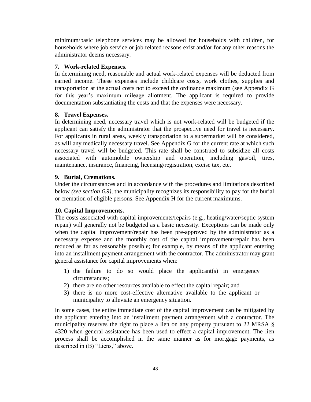minimum/basic telephone services may be allowed for households with children, for households where job service or job related reasons exist and/or for any other reasons the administrator deems necessary.

#### **7. Work-related Expenses.**

In determining need, reasonable and actual work-related expenses will be deducted from earned income. These expenses include childcare costs, work clothes, supplies and transportation at the actual costs not to exceed the ordinance maximum (see Appendix G for this year's maximum mileage allotment. The applicant is required to provide documentation substantiating the costs and that the expenses were necessary.

#### **8. Travel Expenses.**

In determining need, necessary travel which is not work-related will be budgeted if the applicant can satisfy the administrator that the prospective need for travel is necessary. For applicants in rural areas, weekly transportation to a supermarket will be considered, as will any medically necessary travel. See Appendix G for the current rate at which such necessary travel will be budgeted. This rate shall be construed to subsidize all costs associated with automobile ownership and operation, including gas/oil, tires, maintenance, insurance, financing, licensing/registration, excise tax, etc.

#### **9. Burial, Cremations.**

Under the circumstances and in accordance with the procedures and limitations described below *(see section 6.9)*, the municipality recognizes its responsibility to pay for the burial or cremation of eligible persons. See Appendix H for the current maximums.

## **10. Capital Improvements.**

The costs associated with capital improvements/repairs (e.g., heating/water/septic system repair) will generally not be budgeted as a basic necessity. Exceptions can be made only when the capital improvement/repair has been pre-approved by the administrator as a necessary expense and the monthly cost of the capital improvement/repair has been reduced as far as reasonably possible; for example, by means of the applicant entering into an installment payment arrangement with the contractor. The administrator may grant general assistance for capital improvements when:

- 1) the failure to do so would place the applicant(s) in emergency circumstances;
- 2) there are no other resources available to effect the capital repair; and
- 3) there is no more cost-effective alternative available to the applicant or municipality to alleviate an emergency situation.

In some cases, the entire immediate cost of the capital improvement can be mitigated by the applicant entering into an installment payment arrangement with a contractor. The municipality reserves the right to place a lien on any property pursuant to 22 MRSA § 4320 when general assistance has been used to effect a capital improvement. The lien process shall be accomplished in the same manner as for mortgage payments, as described in (B) "Liens," above.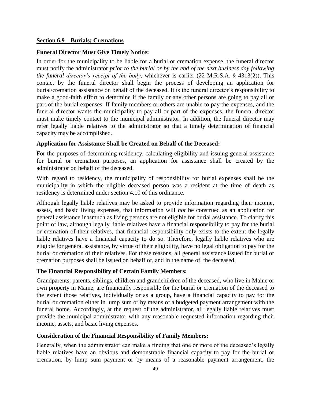#### **Section 6.9 – Burials; Cremations**

#### **Funeral Director Must Give Timely Notice:**

In order for the municipality to be liable for a burial or cremation expense, the funeral director must notify the administrator *prior to the burial or by the end of the next business day following the funeral director's receipt of the body*, whichever is earlier (22 M.R.S.A. § 4313(2)). This contact by the funeral director shall begin the process of developing an application for burial/cremation assistance on behalf of the deceased. It is the funeral director's responsibility to make a good-faith effort to determine if the family or any other persons are going to pay all or part of the burial expenses. If family members or others are unable to pay the expenses, and the funeral director wants the municipality to pay all or part of the expenses, the funeral director must make timely contact to the municipal administrator. In addition, the funeral director may refer legally liable relatives to the administrator so that a timely determination of financial capacity may be accomplished.

#### **Application for Assistance Shall be Created on Behalf of the Deceased:**

For the purposes of determining residency, calculating eligibility and issuing general assistance for burial or cremation purposes, an application for assistance shall be created by the administrator on behalf of the deceased.

With regard to residency, the municipality of responsibility for burial expenses shall be the municipality in which the eligible deceased person was a resident at the time of death as residency is determined under section 4.10 of this ordinance.

Although legally liable relatives may be asked to provide information regarding their income, assets, and basic living expenses, that information will *not* be construed as an application for general assistance inasmuch as living persons are not eligible for burial assistance. To clarify this point of law, although legally liable relatives have a financial responsibility to pay for the burial or cremation of their relatives, that financial responsibility only exists to the extent the legally liable relatives have a financial capacity to do so. Therefore, legally liable relatives who are eligible for general assistance, by virtue of their eligibility, have no legal obligation to pay for the burial or cremation of their relatives. For these reasons, all general assistance issued for burial or cremation purposes shall be issued on behalf of, and in the name of, the deceased.

#### **The Financial Responsibility of Certain Family Members:**

Grandparents, parents, siblings, children and grandchildren of the deceased, who live in Maine or own property in Maine, are financially responsible for the burial or cremation of the deceased to the extent those relatives, individually or as a group, have a financial capacity to pay for the burial or cremation either in lump sum or by means of a budgeted payment arrangement with the funeral home. Accordingly, at the request of the administrator, all legally liable relatives must provide the municipal administrator with any reasonable requested information regarding their income, assets, and basic living expenses.

#### **Consideration of the Financial Responsibility of Family Members:**

Generally, when the administrator can make a finding that one or more of the deceased's legally liable relatives have an obvious and demonstrable financial capacity to pay for the burial or cremation, by lump sum payment or by means of a reasonable payment arrangement, the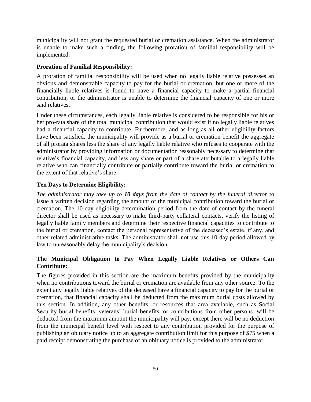municipality will not grant the requested burial or cremation assistance. When the administrator is unable to make such a finding, the following proration of familial responsibility will be implemented.

## **Proration of Familial Responsibility:**

A proration of familial responsibility will be used when no legally liable relative possesses an obvious and demonstrable capacity to pay for the burial or cremation, but one or more of the financially liable relatives is found to have a financial capacity to make a partial financial contribution, or the administrator is unable to determine the financial capacity of one or more said relatives.

Under these circumstances, each legally liable relative is considered to be responsible for his or her pro-rata share of the total municipal contribution that would exist if no legally liable relatives had a financial capacity to contribute. Furthermore, and as long as all other eligibility factors have been satisfied, the municipality will provide as a burial or cremation benefit the aggregate of all prorata shares less the share of any legally liable relative who refuses to cooperate with the administrator by providing information or documentation reasonably necessary to determine that relative's financial capacity, and less any share or part of a share attributable to a legally liable relative who can financially contribute or partially contribute toward the burial or cremation to the extent of that relative's share.

## **Ten Days to Determine Eligibility:**

*The administrator may take up to 10 days from the date of contact by the funeral director* to issue a written decision regarding the amount of the municipal contribution toward the burial or cremation. The 10-day eligibility determination period from the date of contact by the funeral director shall be used as necessary to make third-party collateral contacts, verify the listing of legally liable family members and determine their respective financial capacities to contribute to the burial or cremation, contact the personal representative of the deceased's estate, if any, and other related administrative tasks. The administrator shall not use this 10-day period allowed by law to unreasonably delay the municipality's decision.

## **The Municipal Obligation to Pay When Legally Liable Relatives or Others Can Contribute:**

The figures provided in this section are the maximum benefits provided by the municipality when no contributions toward the burial or cremation are available from any other source. To the extent any legally liable relatives of the deceased have a financial capacity to pay for the burial or cremation, that financial capacity shall be deducted from the maximum burial costs allowed by this section. In addition, any other benefits, or resources that area available, such as Social Security burial benefits, veterans' burial benefits, or contributions from other persons, will be deducted from the maximum amount the municipality will pay, except there will be no deduction from the municipal benefit level with respect to any contribution provided for the purpose of publishing an obituary notice up to an aggregate contribution limit for this purpose of \$75 when a paid receipt demonstrating the purchase of an obituary notice is provided to the administrator.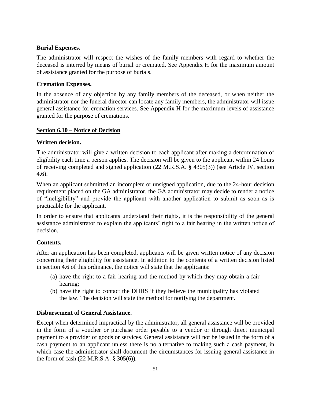## **Burial Expenses.**

The administrator will respect the wishes of the family members with regard to whether the deceased is interred by means of burial or cremated. See Appendix H for the maximum amount of assistance granted for the purpose of burials.

## **Cremation Expenses.**

In the absence of any objection by any family members of the deceased, or when neither the administrator nor the funeral director can locate any family members, the administrator will issue general assistance for cremation services. See Appendix H for the maximum levels of assistance granted for the purpose of cremations.

## **Section 6.10 – Notice of Decision**

## **Written decision.**

The administrator will give a written decision to each applicant after making a determination of eligibility each time a person applies. The decision will be given to the applicant within 24 hours of receiving completed and signed application (22 M.R.S.A. § 4305(3)) (see Article IV, section 4.6).

When an applicant submitted an incomplete or unsigned application, due to the 24-hour decision requirement placed on the GA administrator, the GA administrator may decide to render a notice of "ineligibility" and provide the applicant with another application to submit as soon as is practicable for the applicant.

In order to ensure that applicants understand their rights, it is the responsibility of the general assistance administrator to explain the applicants' right to a fair hearing in the written notice of decision.

## **Contents.**

After an application has been completed, applicants will be given written notice of any decision concerning their eligibility for assistance. In addition to the contents of a written decision listed in section 4.6 of this ordinance, the notice will state that the applicants:

- (a) have the right to a fair hearing and the method by which they may obtain a fair hearing;
- (b) have the right to contact the DHHS if they believe the municipality has violated the law. The decision will state the method for notifying the department.

## **Disbursement of General Assistance.**

Except when determined impractical by the administrator, all general assistance will be provided in the form of a voucher or purchase order payable to a vendor or through direct municipal payment to a provider of goods or services. General assistance will not be issued in the form of a cash payment to an applicant unless there is no alternative to making such a cash payment, in which case the administrator shall document the circumstances for issuing general assistance in the form of cash (22 M.R.S.A. § 305(6)).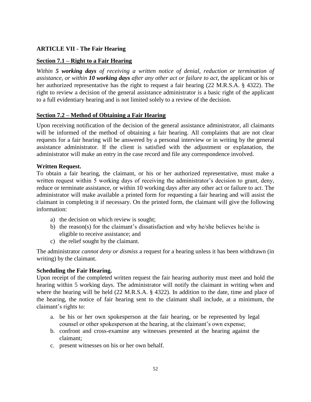## **ARTICLE VII - The Fair Hearing**

## **Section 7.1 – Right to a Fair Hearing**

*Within 5 working days of receiving a written notice of denial, reduction or termination of assistance, or within 10 working days after any other act or failure to act*, the applicant or his or her authorized representative has the right to request a fair hearing (22 M.R.S.A. § 4322). The right to review a decision of the general assistance administrator is a basic right of the applicant to a full evidentiary hearing and is not limited solely to a review of the decision.

## **Section 7.2 – Method of Obtaining a Fair Hearing**

Upon receiving notification of the decision of the general assistance administrator, all claimants will be informed of the method of obtaining a fair hearing. All complaints that are not clear requests for a fair hearing will be answered by a personal interview or in writing by the general assistance administrator. If the client is satisfied with the adjustment or explanation, the administrator will make an entry in the case record and file any correspondence involved.

## **Written Request.**

To obtain a fair hearing, the claimant, or his or her authorized representative, must make a written request within 5 working days of receiving the administrator's decision to grant, deny, reduce or terminate assistance, or within 10 working days after any other act or failure to act. The administrator will make available a printed form for requesting a fair hearing and will assist the claimant in completing it if necessary. On the printed form, the claimant will give the following information:

- a) the decision on which review is sought;
- b) the reason(s) for the claimant's dissatisfaction and why he/she believes he/she is eligible to receive assistance; and
- c) the relief sought by the claimant.

The administrator *cannot deny or dismiss* a request for a hearing unless it has been withdrawn (in writing) by the claimant.

## **Scheduling the Fair Hearing.**

Upon receipt of the completed written request the fair hearing authority must meet and hold the hearing within 5 working days. The administrator will notify the claimant in writing when and where the hearing will be held (22 M.R.S.A. § 4322). In addition to the date, time and place of the hearing, the notice of fair hearing sent to the claimant shall include, at a minimum, the claimant's rights to:

- a. be his or her own spokesperson at the fair hearing, or be represented by legal counsel or other spokesperson at the hearing, at the claimant's own expense;
- b. confront and cross-examine any witnesses presented at the hearing against the claimant;
- c. present witnesses on his or her own behalf.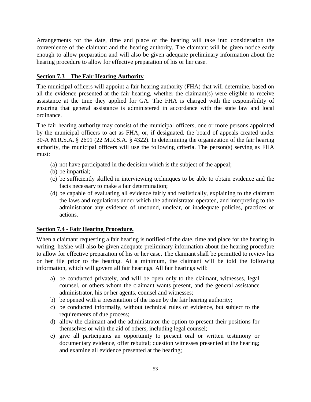Arrangements for the date, time and place of the hearing will take into consideration the convenience of the claimant and the hearing authority. The claimant will be given notice early enough to allow preparation and will also be given adequate preliminary information about the hearing procedure to allow for effective preparation of his or her case.

## **Section 7.3 – The Fair Hearing Authority**

The municipal officers will appoint a fair hearing authority (FHA) that will determine, based on all the evidence presented at the fair hearing, whether the claimant(s) were eligible to receive assistance at the time they applied for GA. The FHA is charged with the responsibility of ensuring that general assistance is administered in accordance with the state law and local ordinance.

The fair hearing authority may consist of the municipal officers, one or more persons appointed by the municipal officers to act as FHA, or, if designated, the board of appeals created under 30-A M.R.S.A. § 2691 (22 M.R.S.A. § 4322). In determining the organization of the fair hearing authority, the municipal officers will use the following criteria. The person(s) serving as FHA must:

- (a) not have participated in the decision which is the subject of the appeal;
- (b) be impartial;
- (c) be sufficiently skilled in interviewing techniques to be able to obtain evidence and the facts necessary to make a fair determination;
- (d) be capable of evaluating all evidence fairly and realistically, explaining to the claimant the laws and regulations under which the administrator operated, and interpreting to the administrator any evidence of unsound, unclear, or inadequate policies, practices or actions.

## **Section 7.4 - Fair Hearing Procedure.**

When a claimant requesting a fair hearing is notified of the date, time and place for the hearing in writing, he/she will also be given adequate preliminary information about the hearing procedure to allow for effective preparation of his or her case. The claimant shall be permitted to review his or her file prior to the hearing. At a minimum, the claimant will be told the following information, which will govern all fair hearings. All fair hearings will:

- a) be conducted privately, and will be open only to the claimant, witnesses, legal counsel, or others whom the claimant wants present, and the general assistance administrator, his or her agents, counsel and witnesses;
- b) be opened with a presentation of the issue by the fair hearing authority;
- c) be conducted informally, without technical rules of evidence, but subject to the requirements of due process;
- d) allow the claimant and the administrator the option to present their positions for themselves or with the aid of others, including legal counsel;
- e) give all participants an opportunity to present oral or written testimony or documentary evidence, offer rebuttal; question witnesses presented at the hearing; and examine all evidence presented at the hearing;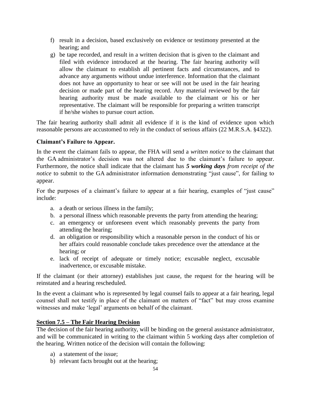- f) result in a decision, based exclusively on evidence or testimony presented at the hearing; and
- g) be tape recorded, and result in a written decision that is given to the claimant and filed with evidence introduced at the hearing. The fair hearing authority will allow the claimant to establish all pertinent facts and circumstances, and to advance any arguments without undue interference. Information that the claimant does not have an opportunity to hear or see will not be used in the fair hearing decision or made part of the hearing record. Any material reviewed by the fair hearing authority must be made available to the claimant or his or her representative. The claimant will be responsible for preparing a written transcript if he/she wishes to pursue court action.

The fair hearing authority shall admit all evidence if it is the kind of evidence upon which reasonable persons are accustomed to rely in the conduct of serious affairs (22 M.R.S.A. §4322).

## **Claimant's Failure to Appear.**

In the event the claimant fails to appear, the FHA will send a *written notice* to the claimant that the GA administrator's decision was not altered due to the claimant's failure to appear. Furthermore, the notice shall indicate that the claimant has *5 working days from receipt of the notice* to submit to the GA administrator information demonstrating "just cause", for failing to appear.

For the purposes of a claimant's failure to appear at a fair hearing, examples of "just cause" include:

- a. a death or serious illness in the family;
- b. a personal illness which reasonable prevents the party from attending the hearing;
- c. an emergency or unforeseen event which reasonably prevents the party from attending the hearing;
- d. an obligation or responsibility which a reasonable person in the conduct of his or her affairs could reasonable conclude takes precedence over the attendance at the hearing; or
- e. lack of receipt of adequate or timely notice; excusable neglect, excusable inadvertence, or excusable mistake.

If the claimant (or their attorney) establishes just cause, the request for the hearing will be reinstated and a hearing rescheduled.

In the event a claimant who is represented by legal counsel fails to appear at a fair hearing, legal counsel shall not testify in place of the claimant on matters of "fact" but may cross examine witnesses and make 'legal' arguments on behalf of the claimant.

## **Section 7.5 – The Fair Hearing Decision**

The decision of the fair hearing authority, will be binding on the general assistance administrator, and will be communicated in writing to the claimant within 5 working days after completion of the hearing. Written notice of the decision will contain the following:

- a) a statement of the issue;
- b) relevant facts brought out at the hearing;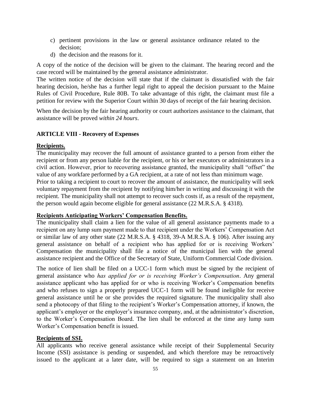- c) pertinent provisions in the law or general assistance ordinance related to the decision;
- d) the decision and the reasons for it.

A copy of the notice of the decision will be given to the claimant. The hearing record and the case record will be maintained by the general assistance administrator.

The written notice of the decision will state that if the claimant is dissatisfied with the fair hearing decision, he/she has a further legal right to appeal the decision pursuant to the Maine Rules of Civil Procedure, Rule 80B. To take advantage of this right, the claimant must file a petition for review with the Superior Court within 30 days of receipt of the fair hearing decision.

When the decision by the fair hearing authority or court authorizes assistance to the claimant, that assistance will be proved *within 24 hours*.

#### **ARTICLE VIII - Recovery of Expenses**

#### **Recipients.**

The municipality may recover the full amount of assistance granted to a person from either the recipient or from any person liable for the recipient, or his or her executors or administrators in a civil action. However, prior to recovering assistance granted, the municipality shall "offset" the value of any workfare performed by a GA recipient, at a rate of not less than minimum wage. Prior to taking a recipient to court to recover the amount of assistance, the municipality will seek voluntary repayment from the recipient by notifying him/her in writing and discussing it with the recipient. The municipality shall not attempt to recover such costs if, as a result of the repayment, the person would again become eligible for general assistance (22 M.R.S.A. § 4318).

#### **Recipients Anticipating Workers' Compensation Benefits.**

The municipality shall claim a lien for the value of all general assistance payments made to a recipient on any lump sum payment made to that recipient under the Workers' Compensation Act or similar law of any other state (22 M.R.S.A. § 4318, 39-A M.R.S.A. § 106). After issuing any general assistance on behalf of a recipient who has applied for or is receiving Workers' Compensation the municipality shall file a notice of the municipal lien with the general assistance recipient and the Office of the Secretary of State, Uniform Commercial Code division.

The notice of lien shall be filed on a UCC-1 form which must be signed by the recipient of general assistance who *has applied for or is receiving Worker's Compensation*. Any general assistance applicant who has applied for or who is receiving Worker's Compensation benefits and who refuses to sign a properly prepared UCC-1 form will be found ineligible for receive general assistance until he or she provides the required signature. The municipality shall also send a photocopy of that filing to the recipient's Worker's Compensation attorney, if known, the applicant's employer or the employer's insurance company, and, at the administrator's discretion, to the Worker's Compensation Board. The lien shall be enforced at the time any lump sum Worker's Compensation benefit is issued.

### **Recipients of SSI.**

All applicants who receive general assistance while receipt of their Supplemental Security Income (SSI) assistance is pending or suspended, and which therefore may be retroactively issued to the applicant at a later date, will be required to sign a statement on an Interim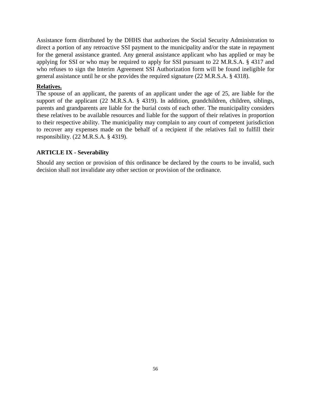Assistance form distributed by the DHHS that authorizes the Social Security Administration to direct a portion of any retroactive SSI payment to the municipality and/or the state in repayment for the general assistance granted. Any general assistance applicant who has applied or may be applying for SSI or who may be required to apply for SSI pursuant to 22 M.R.S.A. § 4317 and who refuses to sign the Interim Agreement SSI Authorization form will be found ineligible for general assistance until he or she provides the required signature (22 M.R.S.A. § 4318).

### **Relatives.**

The spouse of an applicant, the parents of an applicant under the age of 25, are liable for the support of the applicant (22 M.R.S.A. § 4319). In addition, grandchildren, children, siblings, parents and grandparents are liable for the burial costs of each other. The municipality considers these relatives to be available resources and liable for the support of their relatives in proportion to their respective ability. The municipality may complain to any court of competent jurisdiction to recover any expenses made on the behalf of a recipient if the relatives fail to fulfill their responsibility. (22 M.R.S.A. § 4319).

## **ARTICLE IX - Severability**

Should any section or provision of this ordinance be declared by the courts to be invalid, such decision shall not invalidate any other section or provision of the ordinance.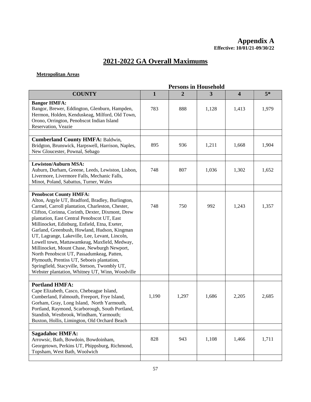## **2021-2022 GA Overall Maximums**

#### **Metropolitan Areas**

|                                                                                                                                                                                                                                                                                                                                                                                                                                                                                                                                                                                                                                                                                           | <b>Persons in Household</b> |       |       |                         |       |
|-------------------------------------------------------------------------------------------------------------------------------------------------------------------------------------------------------------------------------------------------------------------------------------------------------------------------------------------------------------------------------------------------------------------------------------------------------------------------------------------------------------------------------------------------------------------------------------------------------------------------------------------------------------------------------------------|-----------------------------|-------|-------|-------------------------|-------|
| <b>COUNTY</b>                                                                                                                                                                                                                                                                                                                                                                                                                                                                                                                                                                                                                                                                             | 1                           | 2     | 3     | $\overline{\mathbf{4}}$ | $5*$  |
| <b>Bangor HMFA:</b><br>Bangor, Brewer, Eddington, Glenburn, Hampden,<br>Hermon, Holden, Kenduskeag, Milford, Old Town,<br>Orono, Orrington, Penobscot Indian Island<br>Reservation, Veazie                                                                                                                                                                                                                                                                                                                                                                                                                                                                                                | 783                         | 888   | 1,128 | 1,413                   | 1,979 |
| <b>Cumberland County HMFA: Baldwin,</b><br>Bridgton, Brunswick, Harpswell, Harrison, Naples,<br>New Gloucester, Pownal, Sebago                                                                                                                                                                                                                                                                                                                                                                                                                                                                                                                                                            | 895                         | 936   | 1,211 | 1,668                   | 1,904 |
| <b>Lewiston/Auburn MSA:</b><br>Auburn, Durham, Greene, Leeds, Lewiston, Lisbon,<br>Livermore, Livermore Falls, Mechanic Falls,<br>Minot, Poland, Sabattus, Turner, Wales                                                                                                                                                                                                                                                                                                                                                                                                                                                                                                                  | 748                         | 807   | 1,036 | 1,302                   | 1,652 |
|                                                                                                                                                                                                                                                                                                                                                                                                                                                                                                                                                                                                                                                                                           |                             |       |       |                         |       |
| <b>Penobscot County HMFA:</b><br>Alton, Argyle UT, Bradford, Bradley, Burlington,<br>Carmel, Carroll plantation, Charleston, Chester,<br>Clifton, Corinna, Corinth, Dexter, Dixmont, Drew<br>plantation, East Central Penobscot UT, East<br>Millinocket, Edinburg, Enfield, Etna, Exeter,<br>Garland, Greenbush, Howland, Hudson, Kingman<br>UT, Lagrange, Lakeville, Lee, Levant, Lincoln,<br>Lowell town, Mattawamkeag, Maxfield, Medway,<br>Millinocket, Mount Chase, Newburgh Newport,<br>North Penobscot UT, Passadumkeag, Patten,<br>Plymouth, Prentiss UT, Seboeis plantation,<br>Springfield, Stacyville, Stetson, Twombly UT,<br>Webster plantation, Whitney UT, Winn, Woodville | 748                         | 750   | 992   | 1,243                   | 1,357 |
|                                                                                                                                                                                                                                                                                                                                                                                                                                                                                                                                                                                                                                                                                           |                             |       |       |                         |       |
| <b>Portland HMFA:</b><br>Cape Elizabeth, Casco, Chebeague Island,<br>Cumberland, Falmouth, Freeport, Frye Island,<br>Gorham, Gray, Long Island, North Yarmouth,<br>Portland, Raymond, Scarborough, South Portland,<br>Standish, Westbrook, Windham, Yarmouth;<br>Buxton, Hollis, Limington, Old Orchard Beach                                                                                                                                                                                                                                                                                                                                                                             | 1,190                       | 1,297 | 1,686 | 2,205                   | 2,685 |
|                                                                                                                                                                                                                                                                                                                                                                                                                                                                                                                                                                                                                                                                                           |                             |       |       |                         |       |
| <b>Sagadahoc HMFA:</b><br>Arrowsic, Bath, Bowdoin, Bowdoinham,<br>Georgetown, Perkins UT, Phippsburg, Richmond,<br>Topsham, West Bath, Woolwich                                                                                                                                                                                                                                                                                                                                                                                                                                                                                                                                           | 828                         | 943   | 1,108 | 1,466                   | 1,711 |
|                                                                                                                                                                                                                                                                                                                                                                                                                                                                                                                                                                                                                                                                                           |                             |       |       |                         |       |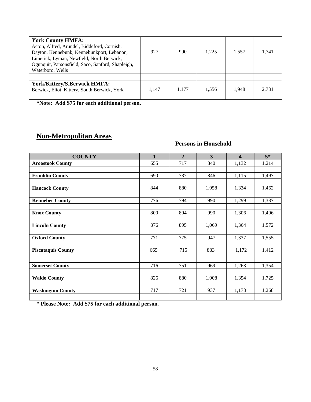| <b>York County HMFA:</b><br>Acton, Alfred, Arundel, Biddeford, Cornish,<br>Dayton, Kennebunk, Kennebunkport, Lebanon,<br>Limerick, Lyman, Newfield, North Berwick,<br>Ogunquit, Parsonsfield, Saco, Sanford, Shapleigh,<br>Waterboro, Wells | 927   | 990   | 1.225 | 1,557 | 1.741 |
|---------------------------------------------------------------------------------------------------------------------------------------------------------------------------------------------------------------------------------------------|-------|-------|-------|-------|-------|
|                                                                                                                                                                                                                                             |       |       |       |       |       |
| York/Kittery/S.Berwick HMFA:<br>Berwick, Eliot, Kittery, South Berwick, York                                                                                                                                                                | 1.147 | 1.177 | 1,556 | 1.948 | 2.731 |

**\*Note: Add \$75 for each additional person.**

# **Non-Metropolitan Areas**

## **Persons in Household**

| <b>COUNTY</b>             | 1   | $\overline{2}$ | $\overline{3}$ | $\boldsymbol{4}$ | $5*$  |
|---------------------------|-----|----------------|----------------|------------------|-------|
| <b>Aroostook County</b>   | 655 | 717            | 840            | 1,132            | 1,214 |
|                           |     |                |                |                  |       |
| <b>Franklin County</b>    | 690 | 737            | 846            | 1,115            | 1,497 |
|                           |     |                |                |                  |       |
| <b>Hancock County</b>     | 844 | 880            | 1,058          | 1,334            | 1,462 |
| <b>Kennebec County</b>    | 776 | 794            | 990            | 1,299            | 1,387 |
|                           |     |                |                |                  |       |
| <b>Knox County</b>        | 800 | 804            | 990            | 1,306            | 1,406 |
|                           |     |                |                |                  |       |
| <b>Lincoln County</b>     | 876 | 895            | 1,069          | 1,364            | 1,572 |
|                           |     |                |                |                  |       |
| <b>Oxford County</b>      | 771 | 775            | 947            | 1,337            | 1,555 |
|                           |     |                |                |                  |       |
| <b>Piscataquis County</b> | 665 | 715            | 883            | 1,172            | 1,412 |
|                           |     |                |                |                  |       |
| <b>Somerset County</b>    | 716 | 751            | 969            | 1,263            | 1,354 |
|                           |     |                |                |                  |       |
| <b>Waldo County</b>       | 826 | 880            | 1,008          | 1,354            | 1,725 |
|                           |     |                |                |                  |       |
| <b>Washington County</b>  | 717 | 721            | 937            | 1,173            | 1,268 |
|                           |     |                |                |                  |       |

**\* Please Note: Add \$75 for each additional person.**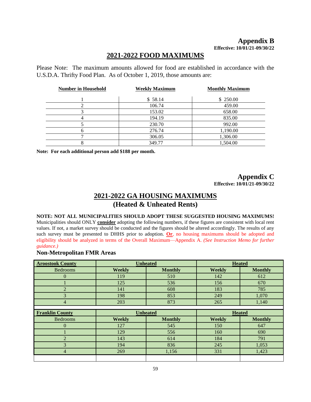## **2021-2022 FOOD MAXIMUMS**

Please Note: The maximum amounts allowed for food are established in accordance with the U.S.D.A. Thrifty Food Plan. As of October 1, 2019, those amounts are:

| <b>Number in Household</b> | <b>Weekly Maximum</b> | <b>Monthly Maximum</b> |
|----------------------------|-----------------------|------------------------|
|                            | \$58.14               | \$250.00               |
|                            | 106.74                | 459.00                 |
|                            | 153.02                | 658.00                 |
|                            | 194.19                | 835.00                 |
|                            | 230.70                | 992.00                 |
| n                          | 276.74                | 1,190.00               |
|                            | 306.05                | 1,306.00               |
| 8                          | 349.77                | 1,504.00               |

**Note: For each additional person add \$188 per month.**

#### **Appendix C Effective: 10/01/21-09/30/22**

## **2021-2022 GA HOUSING MAXIMUMS (Heated & Unheated Rents)**

#### **NOTE: NOT ALL MUNICIPALITIES SHOULD ADOPT THESE SUGGESTED HOUSING MAXIMUMS!**

Municipalities should ONLY **consider** adopting the following numbers, if these figures are consistent with local rent values. If not, a market survey should be conducted and the figures should be altered accordingly. The results of any such survey must be presented to DHHS prior to adoption. **Or**, no housing maximums should be adopted and eligibility should be analyzed in terms of the Overall Maximum—Appendix A. *(See Instruction Memo for further guidance.)*

#### **Non-Metropolitan FMR Areas**

| <b>Aroostook County</b> | <b>Unheated</b> |                |               | <b>Heated</b>  |
|-------------------------|-----------------|----------------|---------------|----------------|
| <b>Bedrooms</b>         | <b>Weekly</b>   | <b>Monthly</b> | <b>Weekly</b> | <b>Monthly</b> |
| $\Omega$                | 119             | 510            | 142           | 612            |
|                         | 125             | 536            | 156           | 670            |
| $\overline{2}$          | 141             | 608            | 183           | 785            |
| 3                       | 198             | 853            | 249           | 1,070          |
| 4                       | 203             | 873            | 265           | 1,140          |
|                         |                 |                |               |                |
|                         |                 |                |               |                |
| <b>Franklin County</b>  | <b>Unheated</b> |                |               | <b>Heated</b>  |
| <b>Bedrooms</b>         | <b>Weekly</b>   | <b>Monthly</b> | Weekly        | <b>Monthly</b> |
| 0                       | 127             | 545            | 150           | 647            |
|                         | 129             | 556            | 160           | 690            |
| $\overline{2}$          | 143             | 614            | 184           | 791            |
| 3                       | 194             | 836            | 245           | 1,053          |
| 4                       | 269             | 1,156          | 331           | 1,423          |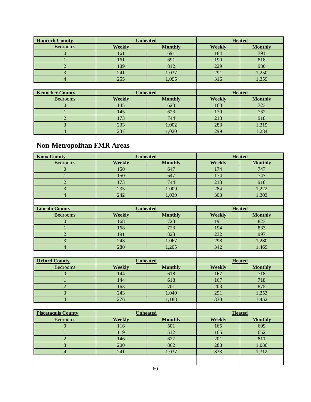| <b>Hancock County</b>  | <b>Unheated</b> |                |               | <b>Heated</b>  |
|------------------------|-----------------|----------------|---------------|----------------|
| <b>Bedrooms</b>        | <b>Weekly</b>   | <b>Monthly</b> | <b>Weekly</b> | <b>Monthly</b> |
| $\Omega$               | 161             | 691            | 184           | 791            |
|                        | 161             | 691            | 190           | 818            |
| $\overline{2}$         | 189             | 812            | 229           | 986            |
| 3                      | 241             | 1,037          | 291           | 1,250          |
| 4                      | 255             | 1,095          | 316           | 1,359          |
|                        |                 |                |               |                |
| <b>Kennebec County</b> | <b>Unheated</b> |                | <b>Heated</b> |                |
| <b>Bedrooms</b>        |                 |                |               |                |
|                        | <b>Weekly</b>   | <b>Monthly</b> | <b>Weekly</b> | <b>Monthly</b> |
| $\Omega$               | 145             | 623            | 168           | 723            |
|                        | 145             | 623            | 170           | 732            |
| $\mathfrak{D}$         | 173             | 744            | 213           | 918            |
| 3                      | 233             | 1,002          | 283           | 1,215          |

# **Non-Metropolitan FMR Areas**

| <b>Knox County</b>        | <b>Unheated</b> |                | <b>Heated</b> |                |  |  |
|---------------------------|-----------------|----------------|---------------|----------------|--|--|
| <b>Bedrooms</b>           | Weekly          | <b>Monthly</b> | Weekly        | <b>Monthly</b> |  |  |
| $\overline{0}$            | 150             | 647            | 174           | 747            |  |  |
| 1                         | 150             | 647            | 174           | 747            |  |  |
| $\overline{2}$            | 173             | 744            | 213           | 918            |  |  |
| 3                         | 235             | 1,009          | 284           | 1,222          |  |  |
| $\overline{4}$            | 242             | 1,039          | 303           | 1,303          |  |  |
|                           |                 |                |               |                |  |  |
| <b>Lincoln County</b>     | <b>Unheated</b> |                | <b>Heated</b> |                |  |  |
| <b>Bedrooms</b>           | <b>Weekly</b>   | <b>Monthly</b> | <b>Weekly</b> | <b>Monthly</b> |  |  |
| $\boldsymbol{0}$          | 168             | 723            | 191           | 823            |  |  |
| 1                         | 168             | 723            | 194           | 833            |  |  |
| $\overline{2}$            | 191             | 823            | 232           | 997            |  |  |
| $\overline{3}$            | 248             | 1,067          | 298           | 1,280          |  |  |
| $\overline{4}$            | 280             | 1,205          | 342           | 1,469          |  |  |
|                           |                 |                |               |                |  |  |
| <b>Oxford County</b>      | <b>Unheated</b> |                | <b>Heated</b> |                |  |  |
| <b>Bedrooms</b>           | Weekly          | <b>Monthly</b> | <b>Weekly</b> | <b>Monthly</b> |  |  |
| $\Omega$                  | 144             | 618            | 167           | 718            |  |  |
| $\mathbf{1}$              | 144             | 618            | 167           | 718            |  |  |
| $\overline{2}$            | 163             | 701            | 203           | 875            |  |  |
| $\overline{\mathbf{3}}$   | 243             | 1,040          | 291           | 1,253          |  |  |
| $\overline{4}$            | 276             | 1,188          | 338           | 1,452          |  |  |
|                           |                 |                |               |                |  |  |
| <b>Piscataquis County</b> | <b>Unheated</b> |                | <b>Heated</b> |                |  |  |
| <b>Bedrooms</b>           | Weekly          | <b>Monthly</b> | <b>Weekly</b> | <b>Monthly</b> |  |  |
| $\mathbf{0}$              | 116             | 501            | 165           | 609            |  |  |
| $\mathbf{1}$              | 119             | 512            | 165           | 652            |  |  |
| $\overline{2}$            | 146             | 627            | 201           | 811            |  |  |
| 3                         | 200             | 862            | 288           | 1,086          |  |  |
| $\overline{4}$            | 241             | 1,037          | 333           | 1,312          |  |  |
|                           |                 |                |               |                |  |  |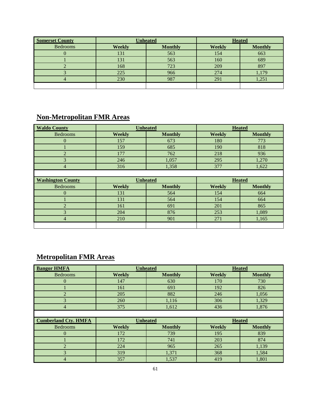| <b>Somerset County</b> | <b>Unheated</b> |                | <b>Heated</b> |                |
|------------------------|-----------------|----------------|---------------|----------------|
| <b>Bedrooms</b>        | <b>Weekly</b>   | <b>Monthly</b> | <b>Weekly</b> | <b>Monthly</b> |
|                        | 131             | 563            | 154           | 663            |
|                        | 131             | 563            | 160           | 689            |
|                        | 168             | 723            | 209           | 897            |
|                        | 225             | 966            | 274           | 1,179          |
|                        | 230             | 987            | 291           | 1,251          |
|                        |                 |                |               |                |

# **Non-Metropolitan FMR Areas**

| <b>Waldo County</b>      | <b>Unheated</b> |                 | <b>Heated</b> |                |
|--------------------------|-----------------|-----------------|---------------|----------------|
| <b>Bedrooms</b>          | <b>Weekly</b>   | <b>Monthly</b>  | <b>Weekly</b> | <b>Monthly</b> |
| $\Omega$                 | 157             | 673             | 180           | 773            |
|                          | 159             | 685             | 190           | 818            |
| $\overline{2}$           | 177             | 762             | 218           | 936            |
| 3                        | 246             | 1,057           | 295           | 1,270          |
| $\overline{4}$           | 316             | 1,358           | 377           | 1,622          |
|                          |                 |                 |               |                |
|                          |                 |                 |               |                |
| <b>Washington County</b> |                 | <b>Unheated</b> | <b>Heated</b> |                |
| <b>Bedrooms</b>          | <b>Weekly</b>   | <b>Monthly</b>  | <b>Weekly</b> | <b>Monthly</b> |
| $\overline{0}$           | 131             | 564             | 154           | 664            |
|                          | 131             | 564             | 154           | 664            |
| $\mathfrak{D}$           | 161             | 691             | 201           | 865            |
| 3                        | 204             | 876             | 253           | 1,089          |
| $\overline{4}$           | 210             | 901             | 271           | 1,165          |

# **Metropolitan FMR Areas**

| <b>Bangor HMFA</b>          | <b>Unheated</b> |                |               | <b>Heated</b>  |
|-----------------------------|-----------------|----------------|---------------|----------------|
| <b>Bedrooms</b>             | <b>Weekly</b>   | <b>Monthly</b> | Weekly        | <b>Monthly</b> |
| $\Omega$                    | 147             | 630            | 170           | 730            |
|                             | 161             | 693            | 192           | 826            |
| $\overline{2}$              | 205             | 882            | 246           | 1,056          |
| 3                           | 260             | 1,116          | 306           | 1,329          |
| 4                           | 375             | 1,612          | 436           | 1,876          |
|                             |                 |                |               |                |
|                             | <b>Unheated</b> |                |               |                |
| <b>Cumberland Cty. HMFA</b> |                 |                |               | <b>Heated</b>  |
| <b>Bedrooms</b>             | <b>Weekly</b>   | <b>Monthly</b> | <b>Weekly</b> | <b>Monthly</b> |
| $\overline{0}$              | 172             | 739            | 195           | 839            |
|                             | 172             | 741            | 203           | 874            |
| $\mathfrak{D}$              | 224             | 965            | 265           | 1,139          |
| 3                           | 319             | 1,371          | 368           | 1,584          |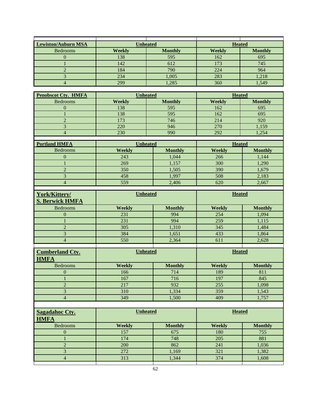|                            | <b>Unheated</b> |                | <b>Heated</b> |                |  |
|----------------------------|-----------------|----------------|---------------|----------------|--|
| <b>Lewiston/Auburn MSA</b> |                 |                |               |                |  |
| <b>Bedrooms</b>            | <b>Weekly</b>   | <b>Monthly</b> | <b>Weekly</b> | <b>Monthly</b> |  |
| $\boldsymbol{0}$           | 138             | 595            | 162           | 695            |  |
| $\mathbf{1}$               | 142             | 612            | 173           | 745            |  |
| $\overline{c}$             | 184             | 790            | 224           | 964            |  |
| $\overline{3}$             | 234             | 1,005          | 283           | 1,218          |  |
| $\overline{\mathcal{L}}$   | 299             | 1,285          | 360           | 1,549          |  |
| <b>Penobscot Cty. HMFA</b> | <b>Unheated</b> |                | <b>Heated</b> |                |  |
| <b>Bedrooms</b>            | <b>Weekly</b>   | <b>Monthly</b> | <b>Weekly</b> | <b>Monthly</b> |  |
| $\theta$                   | 138             | 595            | 162           | 695            |  |
| $\mathbf{1}$               | 138             | 595            | 162           | 695            |  |
| $\overline{c}$             | 173             | 746            | 214           | 920            |  |
| 3                          | 220             | 946            | 270           | 1,159          |  |
| $\overline{4}$             | 230             | 990            | 292           | 1,254          |  |
|                            |                 |                |               |                |  |
| <b>Portland HMFA</b>       | Unheated        |                | <b>Heated</b> |                |  |
| Bedrooms                   | <b>Weekly</b>   | <b>Monthly</b> | <b>Weekly</b> | <b>Monthly</b> |  |
| $\boldsymbol{0}$           | 243             | 1,044          | 266           | 1,144          |  |
| $\mathbf{1}$               | 269             | 1,157          | 300           | 1,290          |  |
| $\overline{2}$             | 350             | 1,505          | 390           | 1,679          |  |
| $\overline{3}$             | 458             | 1,997          | 508           | 2,183          |  |
| $\overline{\mathbf{4}}$    | 559             | 2,406          | 620           | 2,667          |  |
|                            | <b>Unheated</b> |                | <b>Heated</b> |                |  |
| York/Kittery/              |                 |                |               |                |  |
| <b>S. Berwick HMFA</b>     |                 |                |               |                |  |
| <b>Bedrooms</b>            | <b>Weekly</b>   | <b>Monthly</b> | <b>Weekly</b> | <b>Monthly</b> |  |
| $\overline{0}$             | 231             | 994            | 254           | 1,094          |  |
| $\mathbf{1}$               | 231             | 994            | 259           | 1,115          |  |
| $\overline{c}$             | 305             | 1,310          | 345           | 1,484          |  |
| $\overline{3}$             | 384             | 1,651          | 433           | 1,864          |  |
| $\overline{4}$             | 550             | 2,364          | 611           | 2,628          |  |
| <b>Cumberland Cty.</b>     | <b>Unheated</b> |                | <b>Heated</b> |                |  |
| <b>HMFA</b>                |                 |                |               |                |  |
| Bedrooms                   | <b>Weekly</b>   | <b>Monthly</b> | <b>Weekly</b> | <b>Monthly</b> |  |
| $\boldsymbol{0}$           | 166             | 714            | 189           | 811            |  |
| $\mathbf{1}$               | 167             | 716            | 197           | 845            |  |
| $\overline{c}$             | 217             | 932            | 255           | 1,098          |  |
| 3                          | 310             | 1,334          | 359           | 1,543          |  |
| $\overline{4}$             | 349             | 1,500          | 409           | 1,757          |  |
|                            |                 |                |               |                |  |
| <b>Sagadahoc Cty.</b>      | <b>Unheated</b> |                | <b>Heated</b> |                |  |
| <b>HMFA</b>                |                 |                |               |                |  |
| <b>Bedrooms</b>            | <b>Weekly</b>   | <b>Monthly</b> | <b>Weekly</b> | <b>Monthly</b> |  |
| $\boldsymbol{0}$           | 157             | 675            | 180           | 755            |  |
| $\mathbf{1}$               | 174             | 748            | 205           | 881            |  |
| $\overline{2}$             | 200             | 862            | 241           | 1,036          |  |
| 3                          | 272             | 1,169          | 321           | 1,382          |  |
| $\overline{4}$             | 313             | 1,344          | 374           | 1,608          |  |
|                            |                 |                |               |                |  |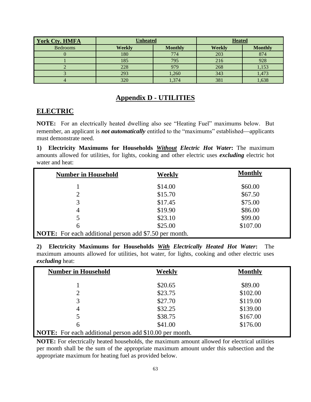| <b>York Cty. HMFA</b> | <b>Unheated</b> |                | <b>Heated</b> |                |
|-----------------------|-----------------|----------------|---------------|----------------|
| <b>Bedrooms</b>       | <b>Weekly</b>   | <b>Monthly</b> | <b>Weekly</b> | <b>Monthly</b> |
|                       | 180             | 774            | 203           | 874            |
|                       | 185             | 795            | 216           | 928            |
|                       | 228             | 979            | 268           | 1,153          |
|                       | 293             | 1,260          | 343           | 1,473          |
|                       | 320             | 1,374          | 381           | 1,638          |

## **Appendix D - UTILITIES**

## **ELECTRIC**

**NOTE:** For an electrically heated dwelling also see "Heating Fuel" maximums below. But remember, an applicant is *not automatically* entitled to the "maximums" established—applicants must demonstrate need.

**1) Electricity Maximums for Households** *Without Electric Hot Water***:** The maximum amounts allowed for utilities, for lights, cooking and other electric uses *excluding* electric hot water and heat:

| <b>Number in Household</b>                                    | <b>Weekly</b> | <b>Monthly</b> |
|---------------------------------------------------------------|---------------|----------------|
|                                                               | \$14.00       | \$60.00        |
|                                                               | \$15.70       | \$67.50        |
| 3                                                             | \$17.45       | \$75.00        |
| 4                                                             | \$19.90       | \$86.00        |
|                                                               | \$23.10       | \$99.00        |
| 6                                                             | \$25.00       | \$107.00       |
| <b>NOTE:</b> For each additional person add \$7.50 per month. |               |                |

**2) Electricity Maximums for Households** *With Electrically Heated Hot Water***:** The maximum amounts allowed for utilities, hot water, for lights, cooking and other electric uses *excluding* heat:

| <b>Number in Household</b>                                     | Weekly  | <b>Monthly</b> |
|----------------------------------------------------------------|---------|----------------|
|                                                                | \$20.65 | \$89.00        |
| 2                                                              | \$23.75 | \$102.00       |
| 3                                                              | \$27.70 | \$119.00       |
| 4                                                              | \$32.25 | \$139.00       |
|                                                                | \$38.75 | \$167.00       |
| 6                                                              | \$41.00 | \$176.00       |
| <b>NOTE:</b> For each additional person add \$10.00 per month. |         |                |

**NOTE:** For electrically heated households, the maximum amount allowed for electrical utilities per month shall be the sum of the appropriate maximum amount under this subsection and the appropriate maximum for heating fuel as provided below.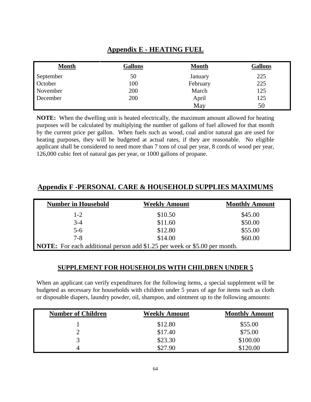## **Appendix E - HEATING FUEL**

| <b>Month</b> | <b>Gallons</b> | <b>Month</b> | <b>Gallons</b> |
|--------------|----------------|--------------|----------------|
| September    | 50             | January      | 225            |
| October      | 100            | February     | 225            |
| November     | 200            | March        | 125            |
| December     | 200            | April        | 125            |
|              |                | May          | 50             |

**NOTE:** When the dwelling unit is heated electrically, the maximum amount allowed for heating purposes will be calculated by multiplying the number of gallons of fuel allowed for that month by the current price per gallon. When fuels such as wood, coal and/or natural gas are used for heating purposes, they will be budgeted at actual rates, if they are reasonable. No eligible applicant shall be considered to need more than 7 tons of coal per year, 8 cords of wood per year, 126,000 cubic feet of natural gas per year, or 1000 gallons of propane.

| <b>Number in Household</b>                                                       | <b>Weekly Amount</b> | <b>Monthly Amount</b> |  |
|----------------------------------------------------------------------------------|----------------------|-----------------------|--|
| $1-2$                                                                            | \$10.50              | \$45.00               |  |
| $3 - 4$                                                                          | \$11.60              | \$50.00               |  |
| $5 - 6$                                                                          | \$12.80              | \$55.00               |  |
| $7 - 8$                                                                          | \$14.00              | \$60.00               |  |
| <b>NOTE:</b> For each additional person add \$1.25 per week or \$5.00 per month. |                      |                       |  |

## **Appendix F -PERSONAL CARE & HOUSEHOLD SUPPLIES MAXIMUMS**

## **SUPPLEMENT FOR HOUSEHOLDS WITH CHILDREN UNDER 5**

When an applicant can verify expenditures for the following items, a special supplement will be budgeted as necessary for households with children under 5 years of age for items such as cloth or disposable diapers, laundry powder, oil, shampoo, and ointment up to the following amounts:

| <b>Number of Children</b> | <b>Weekly Amount</b> | <b>Monthly Amount</b> |
|---------------------------|----------------------|-----------------------|
|                           | \$12.80              | \$55.00               |
|                           | \$17.40              | \$75.00               |
|                           | \$23.30              | \$100.00              |
|                           | \$27.90              | \$120.00              |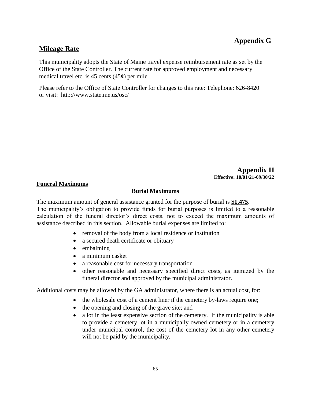# **Appendix G**

# **Mileage Rate**

This municipality adopts the State of Maine travel expense reimbursement rate as set by the Office of the State Controller. The current rate for approved employment and necessary medical travel etc. is 45 cents  $(45¢)$  per mile.

Please refer to the Office of State Controller for changes to this rate: Telephone: 626-8420 or visit: <http://www.state.me.us/osc/>

> **Appendix H Effective: 10/01/21-09/30/22**

## **Funeral Maximums**

## **Burial Maximums**

The maximum amount of general assistance granted for the purpose of burial is **\$1,475.**  The municipality's obligation to provide funds for burial purposes is limited to a reasonable calculation of the funeral director's direct costs, not to exceed the maximum amounts of assistance described in this section. Allowable burial expenses are limited to:

- removal of the body from a local residence or institution
- a secured death certificate or obituary
- embalming
- a minimum casket
- a reasonable cost for necessary transportation
- other reasonable and necessary specified direct costs, as itemized by the funeral director and approved by the municipal administrator.

Additional costs may be allowed by the GA administrator, where there is an actual cost, for:

- the wholesale cost of a cement liner if the cemetery by-laws require one;
	- the opening and closing of the grave site; and
- a lot in the least expensive section of the cemetery. If the municipality is able to provide a cemetery lot in a municipally owned cemetery or in a cemetery under municipal control, the cost of the cemetery lot in any other cemetery will not be paid by the municipality.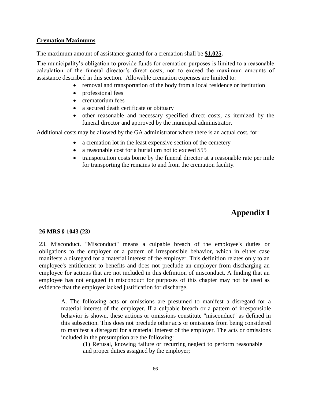#### **Cremation Maximums**

The maximum amount of assistance granted for a cremation shall be **\$1,025.** 

The municipality's obligation to provide funds for cremation purposes is limited to a reasonable calculation of the funeral director's direct costs, not to exceed the maximum amounts of assistance described in this section. Allowable cremation expenses are limited to:

- removal and transportation of the body from a local residence or institution
- professional fees
- crematorium fees
- a secured death certificate or obituary
- other reasonable and necessary specified direct costs, as itemized by the funeral director and approved by the municipal administrator.

Additional costs may be allowed by the GA administrator where there is an actual cost, for:

- a cremation lot in the least expensive section of the cemetery
- a reasonable cost for a burial urn not to exceed \$55
- transportation costs borne by the funeral director at a reasonable rate per mile for transporting the remains to and from the cremation facility.

# **Appendix I**

#### **26 MRS § 1043 (23)**

23. Misconduct. "Misconduct" means a culpable breach of the employee's duties or obligations to the employer or a pattern of irresponsible behavior, which in either case manifests a disregard for a material interest of the employer. This definition relates only to an employee's entitlement to benefits and does not preclude an employer from discharging an employee for actions that are not included in this definition of misconduct. A finding that an employee has not engaged in misconduct for purposes of this chapter may not be used as evidence that the employer lacked justification for discharge.

A. The following acts or omissions are presumed to manifest a disregard for a material interest of the employer. If a culpable breach or a pattern of irresponsible behavior is shown, these actions or omissions constitute "misconduct" as defined in this subsection. This does not preclude other acts or omissions from being considered to manifest a disregard for a material interest of the employer. The acts or omissions included in the presumption are the following:

(1) Refusal, knowing failure or recurring neglect to perform reasonable and proper duties assigned by the employer;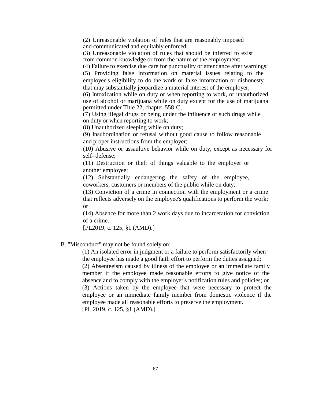(2) Unreasonable violation of rules that are reasonably imposed and communicated and equitably enforced;

(3) Unreasonable violation of rules that should be inferred to exist from common knowledge or from the nature of the employment;

(4) Failure to exercise due care for punctuality or attendance after warnings; (5) Providing false information on material issues relating to the

employee's eligibility to do the work or false information or dishonesty that may substantially jeopardize a material interest of the employer;

(6) Intoxication while on duty or when reporting to work, or unauthorized use of alcohol or marijuana while on duty except for the use of marijuana permitted under Title 22, chapter 558‑C;

(7) Using illegal drugs or being under the influence of such drugs while on duty or when reporting to work;

(8) Unauthorized sleeping while on duty;

(9) Insubordination or refusal without good cause to follow reasonable and proper instructions from the employer;

(10) Abusive or assaultive behavior while on duty, except as necessary for self- defense;

(11) Destruction or theft of things valuable to the employer or another employee;

(12) Substantially endangering the safety of the employee, coworkers, customers or members of the public while on duty;

(13) Conviction of a crime in connection with the employment or a crime that reflects adversely on the employee's qualifications to perform the work; or

(14) Absence for more than 2 work days due to incarceration for conviction of a crime.

[PL2019, c. 125, §1 (AMD).]

### B. "Misconduct" may not be found solely on:

(1) An isolated error in judgment or a failure to perform satisfactorily when the employee has made a good faith effort to perform the duties assigned; (2) Absenteeism caused by illness of the employee or an immediate family member if the employee made reasonable efforts to give notice of the absence and to comply with the employer's notification rules and policies; or (3) Actions taken by the employee that were necessary to protect the

employee or an immediate family member from domestic violence if the employee made all reasonable efforts to preserve the employment. [PL 2019, c. 125, §1 (AMD).]